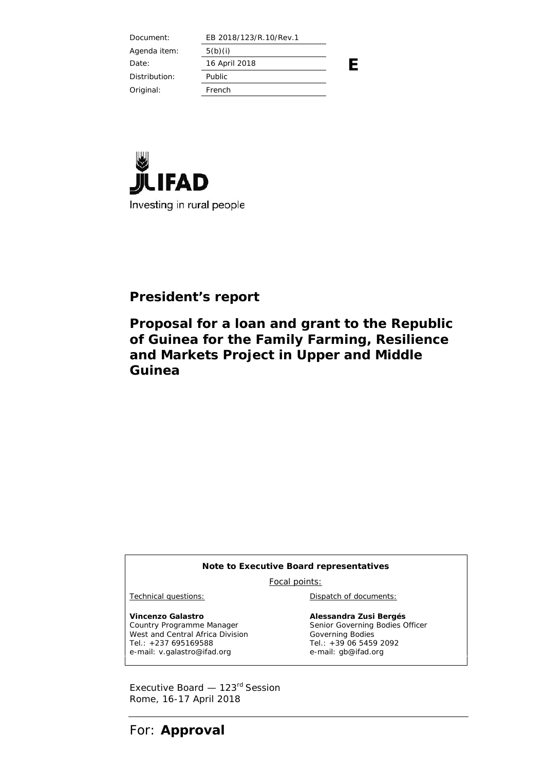| Document:     | EB 2018/123/R.10/Rev.1 |  |
|---------------|------------------------|--|
| Agenda item:  | 5(b)(i)                |  |
| Date:         | 16 April 2018          |  |
| Distribution: | Public                 |  |
| Original:     | French                 |  |
|               |                        |  |



# **President's report**

**Proposal for a loan and grant to the Republic of Guinea for the Family Farming, Resilience and Markets Project in Upper and Middle Guinea**

#### **Note to Executive Board representatives**

Focal points:

**Vincenzo Galastro** Country Programme Manager West and Central Africa Division Tel.: +237 695169588 e-mail: v.galastro@ifad.org

Technical questions: Dispatch of documents:

**Alessandra Zusi Bergés** Senior Governing Bodies Officer Governing Bodies Tel.: +39 06 5459 2092 e-mail: gb@ifad.org

Executive Board - 123<sup>rd</sup> Session Rome, 16-17 April 2018

For: **Approval**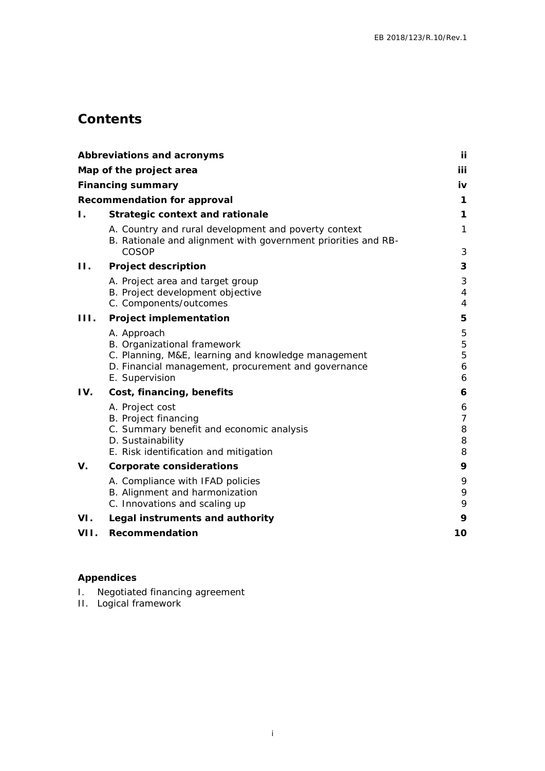# **Contents**

|                | Abbreviations and acronyms                                                                                                     | ij             |  |
|----------------|--------------------------------------------------------------------------------------------------------------------------------|----------------|--|
|                | Map of the project area                                                                                                        | iii            |  |
|                | Financing summary                                                                                                              | iv             |  |
|                | Recommendation for approval                                                                                                    | 1              |  |
| Ι.             | Strategic context and rationale                                                                                                | 1              |  |
|                | A. Country and rural development and poverty context<br>B. Rationale and alignment with government priorities and RB-<br>COSOP | 1<br>3         |  |
| $\mathbf{H}$ . | Project description                                                                                                            | 3              |  |
|                | A. Project area and target group                                                                                               | 3              |  |
|                | B. Project development objective                                                                                               | $\overline{4}$ |  |
|                | C. Components/outcomes                                                                                                         | $\overline{4}$ |  |
| 111.           | Project implementation                                                                                                         | 5              |  |
|                | A. Approach                                                                                                                    | 5              |  |
|                | B. Organizational framework<br>C. Planning, M&E, learning and knowledge management                                             | 5<br>5         |  |
|                | D. Financial management, procurement and governance                                                                            | 6              |  |
|                | E. Supervision                                                                                                                 | 6              |  |
| IV.            | Cost, financing, benefits                                                                                                      | 6              |  |
|                | A. Project cost                                                                                                                | 6              |  |
|                | B. Project financing                                                                                                           | 7              |  |
|                | C. Summary benefit and economic analysis                                                                                       | 8              |  |
|                | D. Sustainability<br>E. Risk identification and mitigation                                                                     | 8<br>8         |  |
| V.             | Corporate considerations                                                                                                       | 9              |  |
|                | A. Compliance with IFAD policies                                                                                               | 9              |  |
|                | B. Alignment and harmonization                                                                                                 | 9              |  |
|                | C. Innovations and scaling up                                                                                                  | 9              |  |
| VI.            | Legal instruments and authority                                                                                                | 9              |  |
| VII.           | Recommendation                                                                                                                 | 10             |  |
|                |                                                                                                                                |                |  |

### **Appendices**

- I. Negotiated financing agreement
- II. Logical framework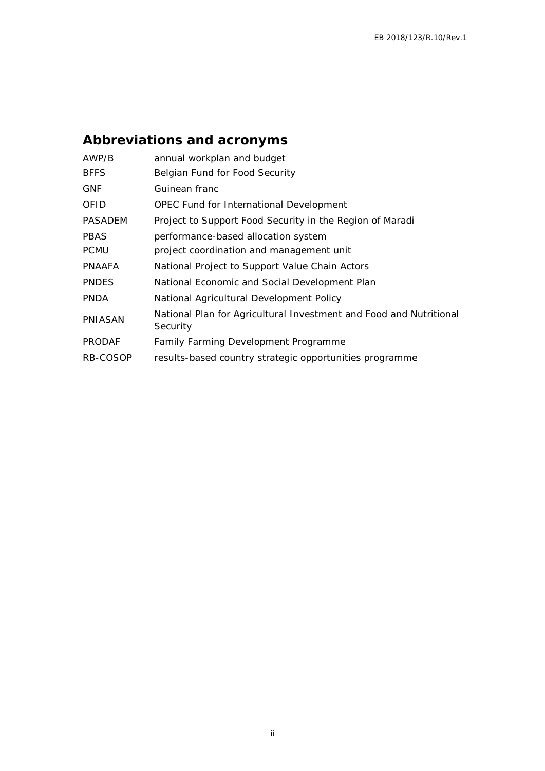# **Abbreviations and acronyms**

| AWP/B         | annual workplan and budget                                                     |
|---------------|--------------------------------------------------------------------------------|
| <b>BFFS</b>   | Belgian Fund for Food Security                                                 |
| <b>GNF</b>    | Guinean franc                                                                  |
| OFID          | OPEC Fund for International Development                                        |
| PASADEM       | Project to Support Food Security in the Region of Maradi                       |
| PBAS          | performance-based allocation system                                            |
| <b>PCMU</b>   | project coordination and management unit                                       |
| PNAAFA        | National Project to Support Value Chain Actors                                 |
| <b>PNDES</b>  | National Economic and Social Development Plan                                  |
| <b>PNDA</b>   | National Agricultural Development Policy                                       |
| PNIASAN       | National Plan for Agricultural Investment and Food and Nutritional<br>Security |
| <b>PRODAF</b> | Family Farming Development Programme                                           |
| RB-COSOP      | results-based country strategic opportunities programme                        |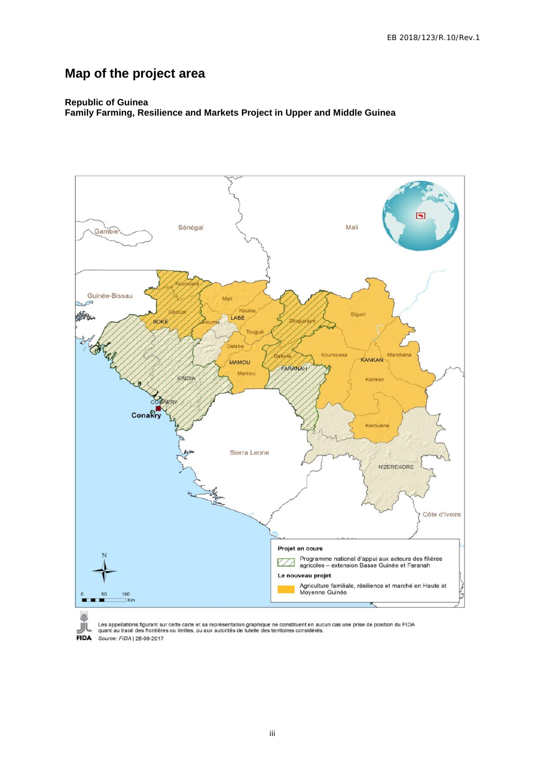# **Map of the project area**

#### **Republic of Guinea Family Farming, Resilience and Markets Project in Upper and Middle Guinea**



Les appellations figurant sur cette carte et sa représentation graphique ne constituent en aucun cas une prise de position du FIDA<br>quant au tracé des frontières ou limites, ou aux autorités de tutelle des territoires consi **FIDA** Source: FIDA | 28-08-2017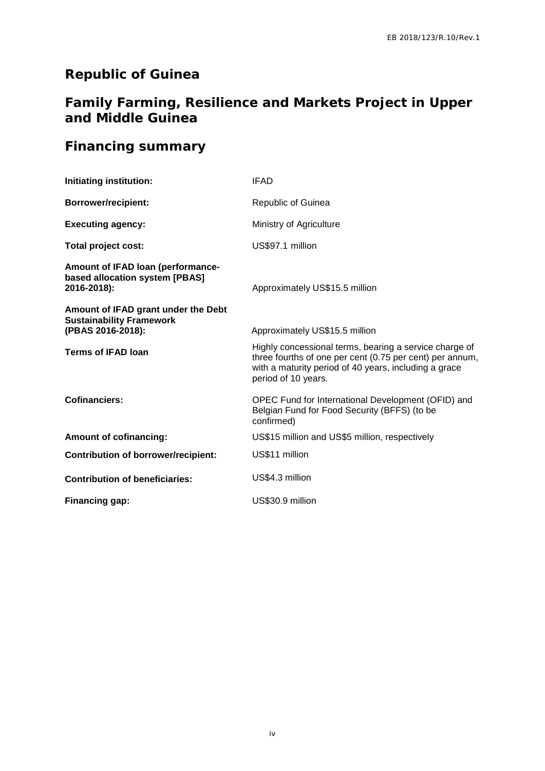# **Republic of Guinea**

# **Family Farming, Resilience and Markets Project in Upper and Middle Guinea**

# **Financing summary**

| Initiating institution:                                                                     | <b>IFAD</b>                                                                                                                                                                                        |
|---------------------------------------------------------------------------------------------|----------------------------------------------------------------------------------------------------------------------------------------------------------------------------------------------------|
| <b>Borrower/recipient:</b>                                                                  | Republic of Guinea                                                                                                                                                                                 |
| <b>Executing agency:</b>                                                                    | Ministry of Agriculture                                                                                                                                                                            |
| Total project cost:                                                                         | US\$97.1 million                                                                                                                                                                                   |
| Amount of IFAD loan (performance-<br>based allocation system [PBAS]<br>2016-2018):          | Approximately US\$15.5 million                                                                                                                                                                     |
| Amount of IFAD grant under the Debt<br><b>Sustainability Framework</b><br>(PBAS 2016-2018): | Approximately US\$15.5 million                                                                                                                                                                     |
| <b>Terms of IFAD loan</b>                                                                   | Highly concessional terms, bearing a service charge of<br>three fourths of one per cent (0.75 per cent) per annum,<br>with a maturity period of 40 years, including a grace<br>period of 10 years. |
| <b>Cofinanciers:</b>                                                                        | OPEC Fund for International Development (OFID) and<br>Belgian Fund for Food Security (BFFS) (to be<br>confirmed)                                                                                   |
| <b>Amount of cofinancing:</b>                                                               | US\$15 million and US\$5 million, respectively                                                                                                                                                     |
| <b>Contribution of borrower/recipient:</b>                                                  | US\$11 million                                                                                                                                                                                     |
| <b>Contribution of beneficiaries:</b>                                                       | US\$4.3 million                                                                                                                                                                                    |
| Financing gap:                                                                              | US\$30.9 million                                                                                                                                                                                   |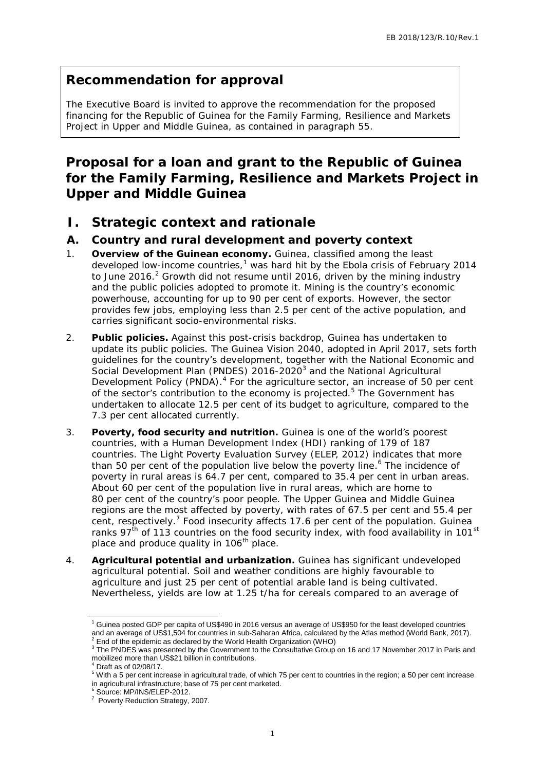## **Recommendation for approval**

The Executive Board is invited to approve the recommendation for the proposed financing for the Republic of Guinea for the Family Farming, Resilience and Markets Project in Upper and Middle Guinea, as contained in paragraph 55.

# **Proposal for a loan and grant to the Republic of Guinea for the Family Farming, Resilience and Markets Project in Upper and Middle Guinea**

**I. Strategic context and rationale**

### **A. Country and rural development and poverty context**

- 1. **Overview of the Guinean economy.** Guinea, classified among the least developed low-income countries, $1$  was hard hit by the Ebola crisis of February 2014 to June 2016.<sup>2</sup> Growth did not resume until 2016, driven by the mining industry and the public policies adopted to promote it. Mining is the country's economic powerhouse, accounting for up to 90 per cent of exports. However, the sector provides few jobs, employing less than 2.5 per cent of the active population, and carries significant socio-environmental risks.
- 2. **Public policies.** Against this post-crisis backdrop, Guinea has undertaken to update its public policies. The Guinea Vision 2040, adopted in April 2017, sets forth guidelines for the country's development, together with the National Economic and Social Development Plan (PNDES) 2016-2020<sup>3</sup> and the National Agricultural Development Policy (PNDA).<sup>4</sup> For the agriculture sector, an increase of 50 per cent of the sector's contribution to the economy is projected.<sup>5</sup> The Government has undertaken to allocate 12.5 per cent of its budget to agriculture, compared to the 7.3 per cent allocated currently.
- hard hit by the Ebola crisis of February 2014<br>hard hit by the Ebola crisis of February 2014<br>until 2016, of viewn by the mining industry<br>unter it. Mining is the country's economic<br>order to diver by the mining industry<br> $2.5$ 3. **Poverty, food security and nutrition.** Guinea is one of the world's poorest countries, with a Human Development Index (HDI) ranking of 179 of 187 countries. The Light Poverty Evaluation Survey (ELEP, 2012) indicates that more than 50 per cent of the population live below the poverty line.<sup>6</sup> The incidence of poverty in rural areas is 64.7 per cent, compared to 35.4 per cent in urban areas. About 60 per cent of the population live in rural areas, which are home to 80 per cent of the country's poor people. The Upper Guinea and Middle Guinea regions are the most affected by poverty, with rates of 67.5 per cent and 55.4 per cent, respectively.<sup>7</sup> Food insecurity affects 17.6 per cent of the population. Guinea ranks  $97<sup>th</sup>$  of 113 countries on the food security index, with food availability in 101 $<sup>st</sup>$ </sup> place and produce quality in 106<sup>th</sup> place.
- 4. **Agricultural potential and urbanization.** Guinea has significant undeveloped agricultural potential. Soil and weather conditions are highly favourable to agriculture and just 25 per cent of potential arable land is being cultivated. Nevertheless, yields are low at 1.25 t/ha for cereals compared to an average of

<sup>1</sup> Guinea posted GDP per capita of US\$490 in 2016 versus an average of US\$950 for the least developed countries and an average of US\$1,504 for countries in sub-Saharan Africa, calculated by the Atlas method (World Bank, 2017).<br>
<sup>2</sup> End of the epidemic as declared by the World Health Organization (WHO)<br>
<sup>3</sup> The PNDES was presented by

 $^4$  Draft as of 02/08/17.<br><sup>5</sup> With a 5 per cent increase in agricultural trade, of which 75 per cent to countries in the region; a 50 per cent increase in agricultural infrastructure; base of 75 per cent marketed.<br>
<sup>6</sup> Source: MP/INS/ELEP-2012.<br>
<sup>7</sup> Poverty Reduction Strategy, 2007.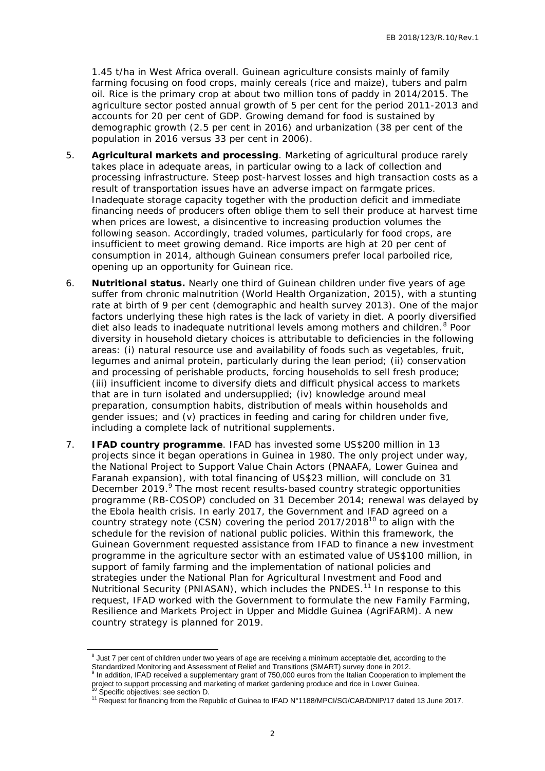1.45 t/ha in West Africa overall. Guinean agriculture consists mainly of family farming focusing on food crops, mainly cereals (rice and maize), tubers and palm oil. Rice is the primary crop at about two million tons of paddy in 2014/2015. The agriculture sector posted annual growth of 5 per cent for the period 2011-2013 and accounts for 20 per cent of GDP. Growing demand for food is sustained by demographic growth (2.5 per cent in 2016) and urbanization (38 per cent of the population in 2016 versus 33 per cent in 2006).

- 5. **Agricultural markets and processing**. Marketing of agricultural produce rarely takes place in adequate areas, in particular owing to a lack of collection and processing infrastructure. Steep post-harvest losses and high transaction costs as a result of transportation issues have an adverse impact on farmgate prices. Inadequate storage capacity together with the production deficit and immediate financing needs of producers often oblige them to sell their produce at harvest time when prices are lowest, a disincentive to increasing production volumes the following season. Accordingly, traded volumes, particularly for food crops, are insufficient to meet growing demand. Rice imports are high at 20 per cent of consumption in 2014, although Guinean consumers prefer local parboiled rice, opening up an opportunity for Guinean rice.
- 6. **Nutritional status.** Nearly one third of Guinean children under five years of age suffer from chronic malnutrition (World Health Organization, 2015), with a stunting rate at birth of 9 per cent (demographic and health survey 2013). One of the major factors underlying these high rates is the lack of variety in diet. A poorly diversified diet also leads to inadequate nutritional levels among mothers and children.<sup>8</sup> Poor diversity in household dietary choices is attributable to deficiencies in the following areas: (i) natural resource use and availability of foods such as vegetables, fruit, legumes and animal protein, particularly during the lean period; (ii) conservation and processing of perishable products, forcing households to sell fresh produce; (iii) insufficient income to diversify diets and difficult physical access to markets that are in turn isolated and undersupplied; (iv) knowledge around meal preparation, consumption habits, distribution of meals within households and gender issues; and (v) practices in feeding and caring for children under five, including a complete lack of nutritional supplements.
- is detailed to the matrimonion of five years of a generation of the Belli Dreparkation. 2015), with a stunting Health Organization. 2015) with a stunting c and helalth survey 2013). One of the major diversified lal levels 7. **IFAD country programme**. IFAD has invested some US\$200 million in 13 projects since it began operations in Guinea in 1980. The only project under way, the National Project to Support Value Chain Actors (PNAAFA, Lower Guinea and Faranah expansion), with total financing of US\$23 million, will conclude on 31 December 2019.<sup>9</sup> The most recent results-based country strategic opportunities programme (RB-COSOP) concluded on 31 December 2014; renewal was delayed by the Ebola health crisis. In early 2017, the Government and IFAD agreed on a country strategy note (CSN) covering the period  $2017/2018^{10}$  to align with the schedule for the revision of national public policies. Within this framework, the Guinean Government requested assistance from IFAD to finance a new investment programme in the agriculture sector with an estimated value of US\$100 million, in support of family farming and the implementation of national policies and strategies under the National Plan for Agricultural Investment and Food and Nutritional Security (PNIASAN), which includes the PNDES.<sup>11</sup> In response to this request, IFAD worked with the Government to formulate the new Family Farming, Resilience and Markets Project in Upper and Middle Guinea (AgriFARM). A new country strategy is planned for 2019.

<sup>&</sup>lt;sup>8</sup> Just 7 per cent of children under two years of age are receiving a minimum acceptable diet, according to the

Standardized Monitoring and Assessment of Relief and Transitions (SMART) survey done in 2012.<br><sup>9</sup> In addition, IFAD received a supplementary grant of 750,000 euros from the Italian Cooperation to in project to support proc In addition, IFAD received a supplementary grant of 750,000 euros from the Italian Cooperation to implement the

<sup>&</sup>lt;sup>10</sup> Specific objectives: see section D.<br><sup>11</sup> Request for financing from the Republic of Guinea to IFAD N°1188/MPCI/SG/CAB/DNIP/17 dated 13 June 2017.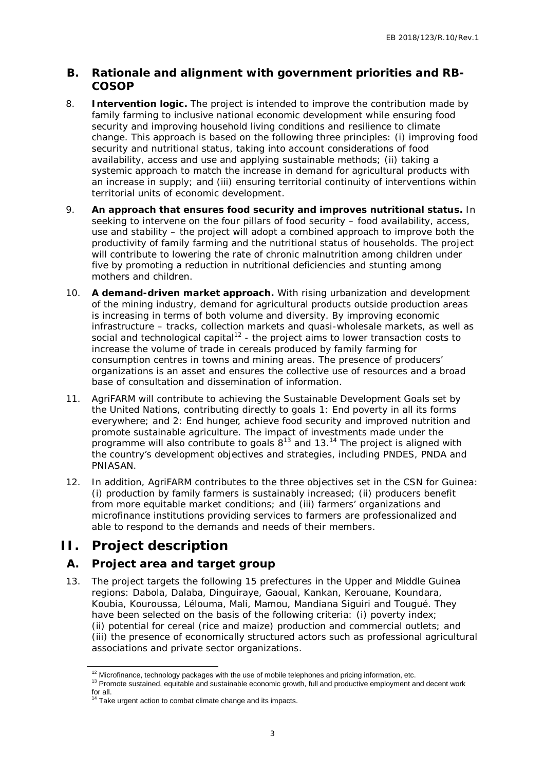### **B. Rationale and alignment with government priorities and RB- COSOP**

- 8. **Intervention logic.** The project is intended to improve the contribution made by family farming to inclusive national economic development while ensuring food security and improving household living conditions and resilience to climate change. This approach is based on the following three principles: (i) improving food security and nutritional status, taking into account considerations of food availability, access and use and applying sustainable methods; (ii) taking a systemic approach to match the increase in demand for agricultural products with an increase in supply; and (iii) ensuring territorial continuity of interventions within territorial units of economic development.
- 9. **An approach that ensures food security and improves nutritional status.** In seeking to intervene on the four pillars of food security – food availability, access, use and stability – the project will adopt a combined approach to improve both the productivity of family farming and the nutritional status of households. The project will contribute to lowering the rate of chronic malnutrition among children under five by promoting a reduction in nutritional deficiencies and stunting among mothers and children.
- onal deficiencies and stunting among<br>
2. With rising urbanization and development<br>
icultural products outside production areas<br>
test and quasi-wholeslae markets, as well as<br>
producted by family farming for<br>
produced by fam 10. **A demand-driven market approach.** With rising urbanization and development of the mining industry, demand for agricultural products outside production areas is increasing in terms of both volume and diversity. By improving economic infrastructure – tracks, collection markets and quasi-wholesale markets, as well as social and technological capital<sup>12</sup> - the project aims to lower transaction costs to increase the volume of trade in cereals produced by family farming for consumption centres in towns and mining areas. The presence of producers' organizations is an asset and ensures the collective use of resources and a broad base of consultation and dissemination of information.
- 11. AgriFARM will contribute to achieving the Sustainable Development Goals set by the United Nations, contributing directly to goals 1: End poverty in all its forms everywhere; and 2: End hunger, achieve food security and improved nutrition and promote sustainable agriculture. The impact of investments made under the programme will also contribute to goals  $8^{13}$  and 13. $^{14}$  The project is aligned with the country's development objectives and strategies, including PNDES, PNDA and PNIASAN.
- 12. In addition, AgriFARM contributes to the three objectives set in the CSN for Guinea: (i) production by family farmers is sustainably increased; (ii) producers benefit from more equitable market conditions; and (iii) farmers' organizations and microfinance institutions providing services to farmers are professionalized and able to respond to the demands and needs of their members.

### **II. Project description**

- **A. Project area and target group**
- 13. The project targets the following 15 prefectures in the Upper and Middle Guinea regions: Dabola, Dalaba, Dinguiraye, Gaoual, Kankan, Kerouane, Koundara, Koubia, Kouroussa, Lélouma, Mali, Mamou, Mandiana Siguiri and Tougué. They have been selected on the basis of the following criteria: (i) poverty index; (ii) potential for cereal (rice and maize) production and commercial outlets; and (iii) the presence of economically structured actors such as professional agricultural associations and private sector organizations.

 $^{12}$  Microfinance, technology packages with the use of mobile telephones and pricing information, etc.  $^{13}$  Promote sustained, equitable and sustainable economic growth, full and productive employment and decent work for all.<br><sup>14</sup> Take urgent action to combat climate change and its impacts.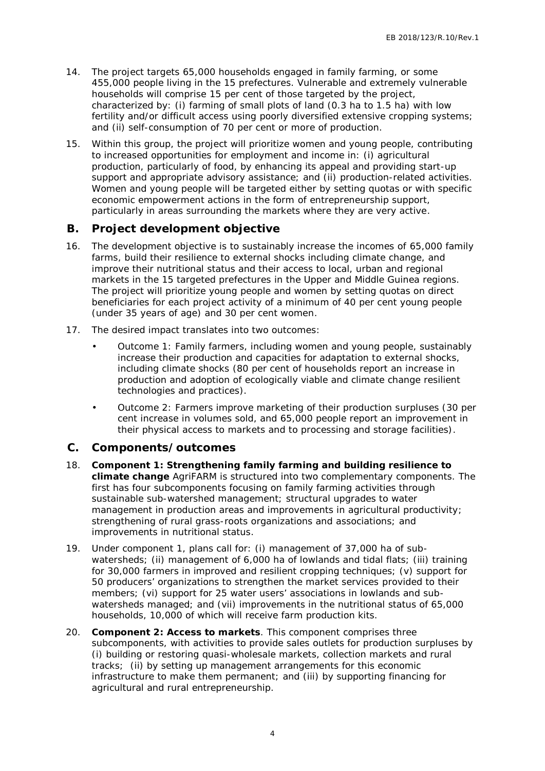- 14. The project targets 65,000 households engaged in family farming, or some 455,000 people living in the 15 prefectures. Vulnerable and extremely vulnerable households will comprise 15 per cent of those targeted by the project, characterized by: (i) farming of small plots of land (0.3 ha to 1.5 ha) with low fertility and/or difficult access using poorly diversified extensive cropping systems; and (ii) self-consumption of 70 per cent or more of production.
- 15. Within this group, the project will prioritize women and young people, contributing to increased opportunities for employment and income in: (i) agricultural production, particularly of food, by enhancing its appeal and providing start-up support and appropriate advisory assistance; and (ii) production-related activities. Women and young people will be targeted either by setting quotas or with specific economic empowerment actions in the form of entrepreneurship support, particularly in areas surrounding the markets where they are very active.
- **B. Project development objective**
- 16. The development objective is to sustainably increase the incomes of 65,000 family farms, build their resilience to external shocks including climate change, and improve their nutritional status and their access to local, urban and regional markets in the 15 targeted prefectures in the Upper and Middle Guinea regions. The project will prioritize young people and women by setting quotas on direct beneficiaries for each project activity of a minimum of 40 per cent young people (under 35 years of age) and 30 per cent women.
- 17. The desired impact translates into two outcomes:
	- Outcome 1: Family farmers, including women and young people, sustainably increase their production and capacities for adaptation to external shocks, including climate shocks (80 per cent of households report an increase in production and adoption of ecologically viable and climate change resilient technologies and practices).
	- Outcome 2: Farmers improve marketing of their production surpluses (30 per cent increase in volumes sold, and 65,000 people report an improvement in their physical access to markets and to processing and storage facilities).
- **C. Components/outcomes**
- shocks including cultrate crange, and<br>air access to local, urban and reglonal<br>air access to local, urban and reglonal<br>and women by setting quotas on direct<br>f a minimum of 40 per cent young people<br>by twomen.<br>dimp women and 18. **Component 1: Strengthening family farming and building resilience to climate change** AgriFARM is structured into two complementary components. The first has four subcomponents focusing on family farming activities through sustainable sub-watershed management; structural upgrades to water management in production areas and improvements in agricultural productivity; strengthening of rural grass-roots organizations and associations; and improvements in nutritional status.
- 19. Under component 1, plans call for: (i) management of 37,000 ha of sub watersheds; (ii) management of 6,000 ha of lowlands and tidal flats; (iii) training for 30,000 farmers in improved and resilient cropping techniques; (v) support for 50 producers' organizations to strengthen the market services provided to their members; (vi) support for 25 water users' associations in lowlands and sub watersheds managed; and (vii) improvements in the nutritional status of 65,000 households, 10,000 of which will receive farm production kits.
- 20. **Component 2: Access to markets**. This component comprises three subcomponents, with activities to provide sales outlets for production surpluses by (i) building or restoring quasi-wholesale markets, collection markets and rural tracks; (ii) by setting up management arrangements for this economic infrastructure to make them permanent; and (iii) by supporting financing for agricultural and rural entrepreneurship.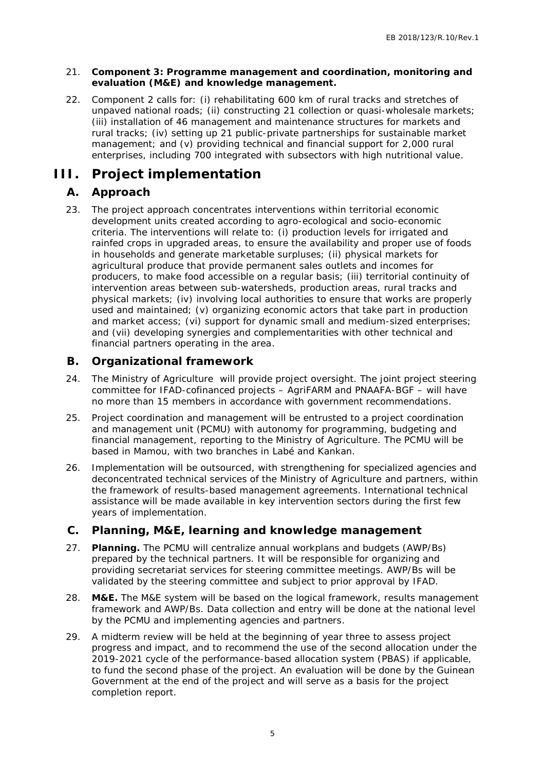- 21. **Component 3: Programme management and coordination, monitoring and evaluation (M&E) and knowledge management.**
- 22. Component 2 calls for: (i) rehabilitating 600 km of rural tracks and stretches of unpaved national roads; (ii) constructing 21 collection or quasi-wholesale markets; (iii) installation of 46 management and maintenance structures for markets and rural tracks; (iv) setting up 21 public-private partnerships for sustainable market management; and (v) providing technical and financial support for 2,000 rural enterprises, including 700 integrated with subsectors with high nutritional value.

## **III. Project implementation**

### **A. Approach**

ene, encourse to the state of the state of the state of the predict and incomes for<br>anent sales outlets and incomes for<br>anent sales, (iii) territorial continuity of<br>arbeds, production areas, rural tracks and<br>property uthor 23. The project approach concentrates interventions within territorial economic development units created according to agro-ecological and socio-economic criteria. The interventions will relate to: (i) production levels for irrigated and rainfed crops in upgraded areas, to ensure the availability and proper use of foods in households and generate marketable surpluses; (ii) physical markets for agricultural produce that provide permanent sales outlets and incomes for producers, to make food accessible on a regular basis; (iii) territorial continuity of intervention areas between sub-watersheds, production areas, rural tracks and physical markets; (iv) involving local authorities to ensure that works are properly used and maintained; (v) organizing economic actors that take part in production and market access; (vi) support for dynamic small and medium-sized enterprises; and (vii) developing synergies and complementarities with other technical and financial partners operating in the area.

### **B. Organizational framework**

- 24. The Ministry of Agriculture will provide project oversight. The joint project steering committee for IFAD-cofinanced projects – AgriFARM and PNAAFA-BGF – will have no more than 15 members in accordance with government recommendations.
- 25. Project coordination and management will be entrusted to a project coordination and management unit (PCMU) with autonomy for programming, budgeting and financial management, reporting to the Ministry of Agriculture. The PCMU will be based in Mamou, with two branches in Labé and Kankan.
- 26. Implementation will be outsourced, with strengthening for specialized agencies and deconcentrated technical services of the Ministry of Agriculture and partners, within the framework of results-based management agreements. International technical assistance will be made available in key intervention sectors during the first few years of implementation.
- **C. Planning, M&E, learning and knowledge management**
- 27. **Planning.** The PCMU will centralize annual workplans and budgets (AWP/Bs) prepared by the technical partners. It will be responsible for organizing and providing secretariat services for steering committee meetings. AWP/Bs will be validated by the steering committee and subject to prior approval by IFAD.
- 28. **M&E.** The M&E system will be based on the logical framework, results management framework and AWP/Bs. Data collection and entry will be done at the national level by the PCMU and implementing agencies and partners.
- 29. A midterm review will be held at the beginning of year three to assess project progress and impact, and to recommend the use of the second allocation under the 2019-2021 cycle of the performance-based allocation system (PBAS) if applicable, to fund the second phase of the project. An evaluation will be done by the Guinean Government at the end of the project and will serve as a basis for the project completion report.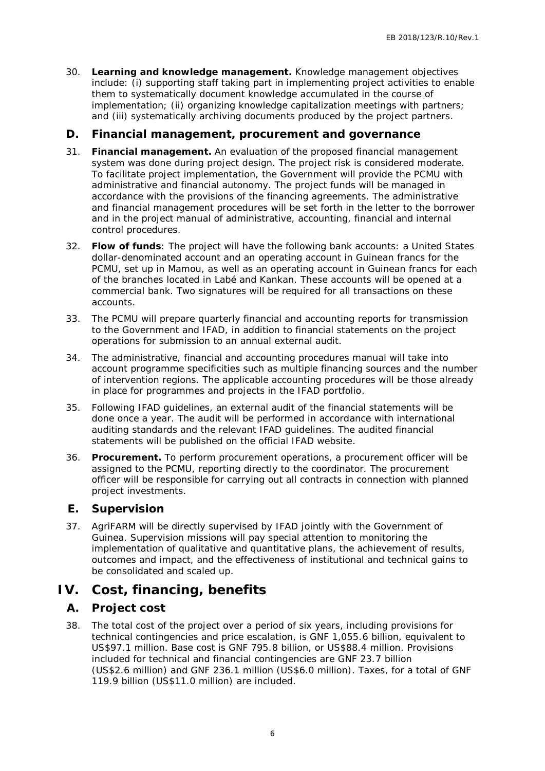- 30. **Learning and knowledge management.** Knowledge management objectives include: (i) supporting staff taking part in implementing project activities to enable them to systematically document knowledge accumulated in the course of implementation; (ii) organizing knowledge capitalization meetings with partners; and (iii) systematically archiving documents produced by the project partners.
- **D. Financial management, procurement and governance**
- 31. **Financial management.** An evaluation of the proposed financial management system was done during project design. The project risk is considered moderate. To facilitate project implementation, the Government will provide the PCMU with administrative and financial autonomy. The project funds will be managed in accordance with the provisions of the financing agreements. The administrative and financial management procedures will be set forth in the letter to the borrower and in the project manual of administrative, accounting, financial and internal control procedures.
- 32. **Flow of funds**: The project will have the following bank accounts: a United States dollar-denominated account and an operating account in Guinean francs for the PCMU, set up in Mamou, as well as an operating account in Guinean francs for each of the branches located in Labé and Kankan. These accounts will be opened at a commercial bank. Two signatures will be required for all transactions on these accounts.
- 33. The PCMU will prepare quarterly financial and accounting reports for transmission to the Government and IFAD, in addition to financial statements on the project operations for submission to an annual external audit.
- 34. The administrative, financial and accounting procedures manual will take into account programme specificities such as multiple financing sources and the number of intervention regions. The applicable accounting procedures will be those already in place for programmes and projects in the IFAD portfolio.
- 35. Following IFAD guidelines, an external audit of the financial statements will be done once a year. The audit will be performed in accordance with international auditing standards and the relevant IFAD guidelines. The audited financial statements will be published on the official IFAD website.
- 36. **Procurement.** To perform procurement operations, a procurement officer will be assigned to the PCMU, reporting directly to the coordinator. The procurement officer will be responsible for carrying out all contracts in connection with planned project investments.
- **E. Supervision**
- 37. AgriFARM will be directly supervised by IFAD jointly with the Government of Guinea. Supervision missions will pay special attention to monitoring the implementation of qualitative and quantitative plans, the achievement of results, outcomes and impact, and the effectiveness of institutional and technical gains to be consolidated and scaled up.

## **IV. Cost, financing, benefits**

### **A. Project cost**

eraining account in Guineari riratios for energy account in Guineari and the operating account in Guinean francs for each shakan. These accounts will be opered at a<br>tight and account in Guinearity of the opered at a<br>tight 38. The total cost of the project over a period of six years, including provisions for technical contingencies and price escalation, is GNF 1,055.6 billion, equivalent to US\$97.1 million. Base cost is GNF 795.8 billion, or US\$88.4 million. Provisions included for technical and financial contingencies are GNF 23.7 billion (US\$2.6 million) and GNF 236.1 million (US\$6.0 million). Taxes, for a total of GNF 119.9 billion (US\$11.0 million) are included.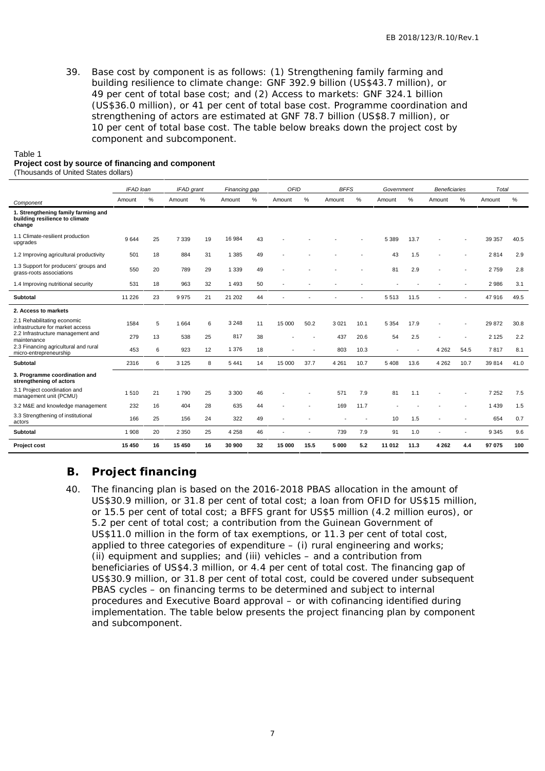39. Base cost by component is as follows: (1) Strengthening family farming and building resilience to climate change: GNF 392.9 billion (US\$43.7 million), or 49 per cent of total base cost; and (2) Access to markets: GNF 324.1 billion (US\$36.0 million), or 41 per cent of total base cost. Programme coordination and strengthening of actors are estimated at GNF 78.7 billion (US\$8.7 million), or 10 per cent of total base cost. The table below breaks down the project cost by component and subcomponent.

| Table 1                    |  |  |
|----------------------------|--|--|
| Dealast sast bus saussa af |  |  |

#### **Project cost by source of financing and component**

(Thousands of United States dollars)

| Amount<br>%<br>%<br>Amount<br>Amount<br>%<br>Amount<br>%<br>Amount<br>%<br>Amount<br>Amount<br>%<br>Amount<br>%<br>$\frac{9}{6}$<br>Component<br>1. Strengthening family farming and<br>building resilience to climate<br>change<br>1.1 Climate-resilient production<br>16 984<br>25<br>19<br>40.5<br>9644<br>7 3 3 9<br>43<br>5 3 8 9<br>13.7<br>39 357<br>upgrades<br>1.2 Improving agricultural productivity<br>18<br>884<br>31<br>1 3 8 5<br>49<br>43<br>1.5<br>2814<br>2.9<br>501<br>1.3 Support for producers' groups and<br>550<br>20<br>789<br>29<br>1 3 3 9<br>49<br>81<br>2.9<br>2759<br>2.8<br>grass-roots associations<br>32<br>1493<br>50<br>1.4 Improving nutritional security<br>531<br>18<br>963<br>2986<br>3.1<br>23<br>21<br>44<br>11 226<br>9975<br>21 202<br>5 5 13 11.5<br>47916<br>49.5<br>Subtotal<br>2. Access to markets<br>2.1 Rehabilitating economic<br>1584<br>5<br>1664<br>3 2 4 8<br>50.2<br>10.1<br>5 3 5 4<br>17.9<br>30.8<br>6<br>11<br>15 000<br>3021<br>29 872<br>infrastructure for market access<br>2.2 Infrastructure management and<br>817<br>25<br>38<br>13<br>538<br>20.6<br>2.2<br>279<br>437<br>54<br>2.5<br>2 1 2 5<br>maintenance<br>2.3 Financing agricultural and rural<br>12<br>1 376<br>18<br>453<br>6<br>923<br>803<br>10.3<br>4 2 6 2<br>54.5<br>7817<br>8.1<br>$\overline{\phantom{a}}$<br>micro-entrepreneurship<br>Subtotal<br>2316<br>6<br>3 1 2 5<br>5441<br>14<br>15 000<br>37.7<br>4 2 6 1<br>10.7<br>5408<br>13.6<br>4 2 6 2<br>10.7<br>39 814<br>41.0<br>8<br>3. Programme coordination and<br>strengthening of actors<br>3.1 Project coordination and<br>25<br>3 3 0 0<br>7 2 5 2<br>7.5<br>21<br>1790<br>571<br>7.9<br>81<br>1 5 1 0<br>46<br>1.1<br>management unit (PCMU)<br>3.2 M&E and knowledge management<br>232<br>16<br>404<br>28<br>635<br>1439<br>1.5<br>44<br>169<br>11.7<br>3.3 Strengthening of institutional<br>166<br>25<br>156<br>24<br>322<br>49<br>10 <sup>°</sup><br>654<br>1.5<br>0.7<br>actors<br>Subtotal<br>25<br>46<br>91<br>1 908<br>20<br>2 3 5 0<br>4 2 5 8<br>739<br>7.9<br>1.0<br>9 3 4 5<br>9.6<br>Project cost<br>15 450<br>16<br>15 450<br>16<br>30 900<br>32<br>15 000<br>15.5<br>5 000<br>5.2<br>11 012 11.3<br>4 2 6 2<br>4.4<br>97 075<br>100<br>Β.<br>Project financing<br>The financing plan is based on the 2016-2018 PBAS allocation in the amount of<br>40.<br>US\$30.9 million, or 31.8 per cent of total cost; a loan from OFID for US\$15 million,<br>or 15.5 per cent of total cost; a BFFS grant for US\$5 million (4.2 million euros), or<br>5.2 per cent of total cost; a contribution from the Guinean Government of<br>US\$11.0 million in the form of tax exemptions, or 11.3 per cent of total cost,<br>applied to three categories of expenditure $-$ (i) rural engineering and works;<br>(ii) equipment and supplies; and (iii) vehicles – and a contribution from<br>beneficiaries of US\$4.3 million, or 4.4 per cent of total cost. The financing gap of<br>US\$30.9 million, or 31.8 per cent of total cost, could be covered under subsequent<br>PBAS cycles – on financing terms to be determined and subject to internal<br>procedures and Executive Board approval - or with cofinancing identified during<br>implementation. The table below presents the project financing plan by component<br>and subcomponent. | IFAD loan | IFAD grant | Financing gap | OFID | <b>BFFS</b> | Government | <b>Beneficiaries</b> | Total |  |
|--------------------------------------------------------------------------------------------------------------------------------------------------------------------------------------------------------------------------------------------------------------------------------------------------------------------------------------------------------------------------------------------------------------------------------------------------------------------------------------------------------------------------------------------------------------------------------------------------------------------------------------------------------------------------------------------------------------------------------------------------------------------------------------------------------------------------------------------------------------------------------------------------------------------------------------------------------------------------------------------------------------------------------------------------------------------------------------------------------------------------------------------------------------------------------------------------------------------------------------------------------------------------------------------------------------------------------------------------------------------------------------------------------------------------------------------------------------------------------------------------------------------------------------------------------------------------------------------------------------------------------------------------------------------------------------------------------------------------------------------------------------------------------------------------------------------------------------------------------------------------------------------------------------------------------------------------------------------------------------------------------------------------------------------------------------------------------------------------------------------------------------------------------------------------------------------------------------------------------------------------------------------------------------------------------------------------------------------------------------------------------------------------------------------------------------------------------------------------------------------------------------------------------------------------------------------------------------------------------------------------------------------------------------------------------------------------------------------------------------------------------------------------------------------------------------------------------------------------------------------------------------------------------------------------------------------------------------------------------------------------------------------------------------------------------------------------------------------------------------------------------------------------------------------------------------------------------------------------------------------------------------------------------------------------------------------------------------------------|-----------|------------|---------------|------|-------------|------------|----------------------|-------|--|
|                                                                                                                                                                                                                                                                                                                                                                                                                                                                                                                                                                                                                                                                                                                                                                                                                                                                                                                                                                                                                                                                                                                                                                                                                                                                                                                                                                                                                                                                                                                                                                                                                                                                                                                                                                                                                                                                                                                                                                                                                                                                                                                                                                                                                                                                                                                                                                                                                                                                                                                                                                                                                                                                                                                                                                                                                                                                                                                                                                                                                                                                                                                                                                                                                                                                                                                                                  |           |            |               |      |             |            |                      |       |  |
|                                                                                                                                                                                                                                                                                                                                                                                                                                                                                                                                                                                                                                                                                                                                                                                                                                                                                                                                                                                                                                                                                                                                                                                                                                                                                                                                                                                                                                                                                                                                                                                                                                                                                                                                                                                                                                                                                                                                                                                                                                                                                                                                                                                                                                                                                                                                                                                                                                                                                                                                                                                                                                                                                                                                                                                                                                                                                                                                                                                                                                                                                                                                                                                                                                                                                                                                                  |           |            |               |      |             |            |                      |       |  |
|                                                                                                                                                                                                                                                                                                                                                                                                                                                                                                                                                                                                                                                                                                                                                                                                                                                                                                                                                                                                                                                                                                                                                                                                                                                                                                                                                                                                                                                                                                                                                                                                                                                                                                                                                                                                                                                                                                                                                                                                                                                                                                                                                                                                                                                                                                                                                                                                                                                                                                                                                                                                                                                                                                                                                                                                                                                                                                                                                                                                                                                                                                                                                                                                                                                                                                                                                  |           |            |               |      |             |            |                      |       |  |
|                                                                                                                                                                                                                                                                                                                                                                                                                                                                                                                                                                                                                                                                                                                                                                                                                                                                                                                                                                                                                                                                                                                                                                                                                                                                                                                                                                                                                                                                                                                                                                                                                                                                                                                                                                                                                                                                                                                                                                                                                                                                                                                                                                                                                                                                                                                                                                                                                                                                                                                                                                                                                                                                                                                                                                                                                                                                                                                                                                                                                                                                                                                                                                                                                                                                                                                                                  |           |            |               |      |             |            |                      |       |  |
|                                                                                                                                                                                                                                                                                                                                                                                                                                                                                                                                                                                                                                                                                                                                                                                                                                                                                                                                                                                                                                                                                                                                                                                                                                                                                                                                                                                                                                                                                                                                                                                                                                                                                                                                                                                                                                                                                                                                                                                                                                                                                                                                                                                                                                                                                                                                                                                                                                                                                                                                                                                                                                                                                                                                                                                                                                                                                                                                                                                                                                                                                                                                                                                                                                                                                                                                                  |           |            |               |      |             |            |                      |       |  |
|                                                                                                                                                                                                                                                                                                                                                                                                                                                                                                                                                                                                                                                                                                                                                                                                                                                                                                                                                                                                                                                                                                                                                                                                                                                                                                                                                                                                                                                                                                                                                                                                                                                                                                                                                                                                                                                                                                                                                                                                                                                                                                                                                                                                                                                                                                                                                                                                                                                                                                                                                                                                                                                                                                                                                                                                                                                                                                                                                                                                                                                                                                                                                                                                                                                                                                                                                  |           |            |               |      |             |            |                      |       |  |
|                                                                                                                                                                                                                                                                                                                                                                                                                                                                                                                                                                                                                                                                                                                                                                                                                                                                                                                                                                                                                                                                                                                                                                                                                                                                                                                                                                                                                                                                                                                                                                                                                                                                                                                                                                                                                                                                                                                                                                                                                                                                                                                                                                                                                                                                                                                                                                                                                                                                                                                                                                                                                                                                                                                                                                                                                                                                                                                                                                                                                                                                                                                                                                                                                                                                                                                                                  |           |            |               |      |             |            |                      |       |  |
|                                                                                                                                                                                                                                                                                                                                                                                                                                                                                                                                                                                                                                                                                                                                                                                                                                                                                                                                                                                                                                                                                                                                                                                                                                                                                                                                                                                                                                                                                                                                                                                                                                                                                                                                                                                                                                                                                                                                                                                                                                                                                                                                                                                                                                                                                                                                                                                                                                                                                                                                                                                                                                                                                                                                                                                                                                                                                                                                                                                                                                                                                                                                                                                                                                                                                                                                                  |           |            |               |      |             |            |                      |       |  |
|                                                                                                                                                                                                                                                                                                                                                                                                                                                                                                                                                                                                                                                                                                                                                                                                                                                                                                                                                                                                                                                                                                                                                                                                                                                                                                                                                                                                                                                                                                                                                                                                                                                                                                                                                                                                                                                                                                                                                                                                                                                                                                                                                                                                                                                                                                                                                                                                                                                                                                                                                                                                                                                                                                                                                                                                                                                                                                                                                                                                                                                                                                                                                                                                                                                                                                                                                  |           |            |               |      |             |            |                      |       |  |
|                                                                                                                                                                                                                                                                                                                                                                                                                                                                                                                                                                                                                                                                                                                                                                                                                                                                                                                                                                                                                                                                                                                                                                                                                                                                                                                                                                                                                                                                                                                                                                                                                                                                                                                                                                                                                                                                                                                                                                                                                                                                                                                                                                                                                                                                                                                                                                                                                                                                                                                                                                                                                                                                                                                                                                                                                                                                                                                                                                                                                                                                                                                                                                                                                                                                                                                                                  |           |            |               |      |             |            |                      |       |  |
|                                                                                                                                                                                                                                                                                                                                                                                                                                                                                                                                                                                                                                                                                                                                                                                                                                                                                                                                                                                                                                                                                                                                                                                                                                                                                                                                                                                                                                                                                                                                                                                                                                                                                                                                                                                                                                                                                                                                                                                                                                                                                                                                                                                                                                                                                                                                                                                                                                                                                                                                                                                                                                                                                                                                                                                                                                                                                                                                                                                                                                                                                                                                                                                                                                                                                                                                                  |           |            |               |      |             |            |                      |       |  |
|                                                                                                                                                                                                                                                                                                                                                                                                                                                                                                                                                                                                                                                                                                                                                                                                                                                                                                                                                                                                                                                                                                                                                                                                                                                                                                                                                                                                                                                                                                                                                                                                                                                                                                                                                                                                                                                                                                                                                                                                                                                                                                                                                                                                                                                                                                                                                                                                                                                                                                                                                                                                                                                                                                                                                                                                                                                                                                                                                                                                                                                                                                                                                                                                                                                                                                                                                  |           |            |               |      |             |            |                      |       |  |
|                                                                                                                                                                                                                                                                                                                                                                                                                                                                                                                                                                                                                                                                                                                                                                                                                                                                                                                                                                                                                                                                                                                                                                                                                                                                                                                                                                                                                                                                                                                                                                                                                                                                                                                                                                                                                                                                                                                                                                                                                                                                                                                                                                                                                                                                                                                                                                                                                                                                                                                                                                                                                                                                                                                                                                                                                                                                                                                                                                                                                                                                                                                                                                                                                                                                                                                                                  |           |            |               |      |             |            |                      |       |  |
|                                                                                                                                                                                                                                                                                                                                                                                                                                                                                                                                                                                                                                                                                                                                                                                                                                                                                                                                                                                                                                                                                                                                                                                                                                                                                                                                                                                                                                                                                                                                                                                                                                                                                                                                                                                                                                                                                                                                                                                                                                                                                                                                                                                                                                                                                                                                                                                                                                                                                                                                                                                                                                                                                                                                                                                                                                                                                                                                                                                                                                                                                                                                                                                                                                                                                                                                                  |           |            |               |      |             |            |                      |       |  |
|                                                                                                                                                                                                                                                                                                                                                                                                                                                                                                                                                                                                                                                                                                                                                                                                                                                                                                                                                                                                                                                                                                                                                                                                                                                                                                                                                                                                                                                                                                                                                                                                                                                                                                                                                                                                                                                                                                                                                                                                                                                                                                                                                                                                                                                                                                                                                                                                                                                                                                                                                                                                                                                                                                                                                                                                                                                                                                                                                                                                                                                                                                                                                                                                                                                                                                                                                  |           |            |               |      |             |            |                      |       |  |
|                                                                                                                                                                                                                                                                                                                                                                                                                                                                                                                                                                                                                                                                                                                                                                                                                                                                                                                                                                                                                                                                                                                                                                                                                                                                                                                                                                                                                                                                                                                                                                                                                                                                                                                                                                                                                                                                                                                                                                                                                                                                                                                                                                                                                                                                                                                                                                                                                                                                                                                                                                                                                                                                                                                                                                                                                                                                                                                                                                                                                                                                                                                                                                                                                                                                                                                                                  |           |            |               |      |             |            |                      |       |  |
|                                                                                                                                                                                                                                                                                                                                                                                                                                                                                                                                                                                                                                                                                                                                                                                                                                                                                                                                                                                                                                                                                                                                                                                                                                                                                                                                                                                                                                                                                                                                                                                                                                                                                                                                                                                                                                                                                                                                                                                                                                                                                                                                                                                                                                                                                                                                                                                                                                                                                                                                                                                                                                                                                                                                                                                                                                                                                                                                                                                                                                                                                                                                                                                                                                                                                                                                                  |           |            |               |      |             |            |                      |       |  |
|                                                                                                                                                                                                                                                                                                                                                                                                                                                                                                                                                                                                                                                                                                                                                                                                                                                                                                                                                                                                                                                                                                                                                                                                                                                                                                                                                                                                                                                                                                                                                                                                                                                                                                                                                                                                                                                                                                                                                                                                                                                                                                                                                                                                                                                                                                                                                                                                                                                                                                                                                                                                                                                                                                                                                                                                                                                                                                                                                                                                                                                                                                                                                                                                                                                                                                                                                  |           |            |               |      |             |            |                      |       |  |
|                                                                                                                                                                                                                                                                                                                                                                                                                                                                                                                                                                                                                                                                                                                                                                                                                                                                                                                                                                                                                                                                                                                                                                                                                                                                                                                                                                                                                                                                                                                                                                                                                                                                                                                                                                                                                                                                                                                                                                                                                                                                                                                                                                                                                                                                                                                                                                                                                                                                                                                                                                                                                                                                                                                                                                                                                                                                                                                                                                                                                                                                                                                                                                                                                                                                                                                                                  |           |            |               |      |             |            |                      |       |  |

### **B. Project financing**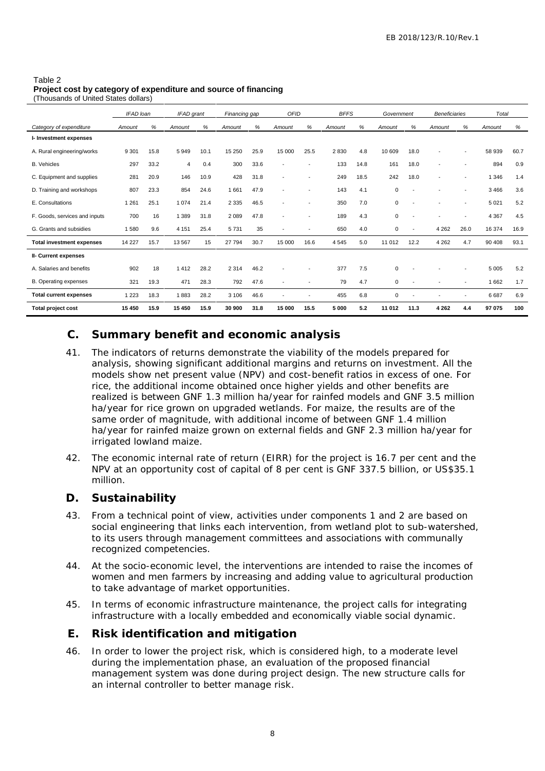#### Table 2 **Project cost by category of expenditure and source of financing**

(Thousands of United States dollars)

|                                  | IFAD loan |      | IFAD grant     |      | Financing gap |      | <b>OFID</b>              |                          | <b>BFFS</b> |      | Government  |                          | <b>Beneficiaries</b>     |                          | Total   |      |
|----------------------------------|-----------|------|----------------|------|---------------|------|--------------------------|--------------------------|-------------|------|-------------|--------------------------|--------------------------|--------------------------|---------|------|
| Category of expenditure          | Amount    | %    | Amount         | %    | Amount        | %    | Amount                   | ℅                        | Amount      | %    | Amount      | %                        | Amount                   | %                        | Amount  | %    |
| I- Investment expenses           |           |      |                |      |               |      |                          |                          |             |      |             |                          |                          |                          |         |      |
| A. Rural engineering/works       | 9 3 0 1   | 15.8 | 5949           | 10.1 | 15 250        | 25.9 | 15 000                   | 25.5                     | 2830        | 4.8  | 10 609      | 18.0                     | $\blacksquare$           |                          | 58 939  | 60.7 |
| <b>B.</b> Vehicles               | 297       | 33.2 | $\overline{4}$ | 0.4  | 300           | 33.6 | $\overline{\phantom{a}}$ |                          | 133         | 14.8 | 161         | 18.0                     | $\overline{\phantom{a}}$ |                          | 894     | 0.9  |
| C. Equipment and supplies        | 281       | 20.9 | 146            | 10.9 | 428           | 31.8 | $\overline{\phantom{a}}$ |                          | 249         | 18.5 | 242         | 18.0                     | $\overline{\phantom{a}}$ |                          | 1 3 4 6 | 1.4  |
| D. Training and workshops        | 807       | 23.3 | 854            | 24.6 | 1661          | 47.9 | $\overline{\phantom{a}}$ | $\overline{\phantom{a}}$ | 143         | 4.1  | 0           | $\overline{\phantom{a}}$ | ٠                        | $\overline{\phantom{a}}$ | 3466    | 3.6  |
| E. Consultations                 | 1 2 6 1   | 25.1 | 1074           | 21.4 | 2 3 3 5       | 46.5 | $\overline{\phantom{a}}$ |                          | 350         | 7.0  | 0           |                          |                          |                          | 5 0 2 1 | 5.2  |
| F. Goods, services and inputs    | 700       | 16   | 1 3 8 9        | 31.8 | 2 0 8 9       | 47.8 | $\overline{\phantom{a}}$ |                          | 189         | 4.3  | 0           | $\overline{\phantom{a}}$ | $\overline{\phantom{a}}$ |                          | 4 3 6 7 | 4.5  |
| G. Grants and subsidies          | 1580      | 9.6  | 4 1 5 1        | 25.4 | 5731          | 35   | $\overline{\phantom{0}}$ |                          | 650         | 4.0  | $\mathbf 0$ |                          | 4 2 6 2                  | 26.0                     | 16 374  | 16.9 |
| <b>Total investment expenses</b> | 14 227    | 15.7 | 13 5 67        | 15   | 27 794        | 30.7 | 15 000                   | 16.6                     | 4545        | 5.0  | 11 012      | 12.2                     | 4 2 6 2                  | 4.7                      | 90 40 8 | 93.1 |
| II- Current expenses             |           |      |                |      |               |      |                          |                          |             |      |             |                          |                          |                          |         |      |
| A. Salaries and benefits         | 902       | 18   | 1412           | 28.2 | 2 3 1 4       | 46.2 | $\overline{\phantom{a}}$ |                          | 377         | 7.5  | $\mathbf 0$ |                          |                          |                          | 5 0 0 5 | 5.2  |
| B. Operating expenses            | 321       | 19.3 | 471            | 28.3 | 792           | 47.6 | $\overline{\phantom{a}}$ |                          | 79          | 4.7  | 0           |                          | ٠                        | $\overline{\phantom{a}}$ | 1662    | 1.7  |
| <b>Total current expenses</b>    | 1 2 2 3   | 18.3 | 1883           | 28.2 | 3 1 0 6       | 46.6 |                          |                          | 455         | 6.8  | $\mathbf 0$ |                          | ٠                        |                          | 6687    | 6.9  |
| Total project cost               | 15 450    | 15.9 | 15 450         | 15.9 | 30 900        | 31.8 | 15 000                   | 15.5                     | 5 000       | 5.2  | 11 012      | 11.3                     | 4 2 6 2                  | 4.4                      | 97 075  | 100  |

### **C. Summary benefit and economic analysis**

- $\frac{37}{28}$  B  $\frac{37}{28}$  B  $\frac{37}{28}$  B  $\frac{37}{28}$  B  $\frac{37}{28}$  B  $\frac{608}{28}$  B  $\frac{608}{28}$  B  $\frac{608}{28}$  B  $\frac{608}{28}$  B  $\frac{608}{28}$  B  $\frac{608}{28}$  B  $\frac{608}{28}$  R  $\frac{608}{28}$  R  $\frac{608}{28}$  R  $\frac{608}{28}$  R 41. The indicators of returns demonstrate the viability of the models prepared for analysis, showing significant additional margins and returns on investment. All the models show net present value (NPV) and cost-benefit ratios in excess of one. For rice, the additional income obtained once higher yields and other benefits are realized is between GNF 1.3 million ha/year for rainfed models and GNF 3.5 million ha/year for rice grown on upgraded wetlands. For maize, the results are of the same order of magnitude, with additional income of between GNF 1.4 million ha/year for rainfed maize grown on external fields and GNF 2.3 million ha/year for irrigated lowland maize.
- 42. The economic internal rate of return (EIRR) for the project is 16.7 per cent and the NPV at an opportunity cost of capital of 8 per cent is GNF 337.5 billion, or US\$35.1 million.
- **D. Sustainability**
- 43. From a technical point of view, activities under components 1 and 2 are based on social engineering that links each intervention, from wetland plot to sub-watershed, to its users through management committees and associations with communally recognized competencies.
- 44. At the socio-economic level, the interventions are intended to raise the incomes of women and men farmers by increasing and adding value to agricultural production to take advantage of market opportunities.
- 45. In terms of economic infrastructure maintenance, the project calls for integrating infrastructure with a locally embedded and economically viable social dynamic.
- **E. Risk identification and mitigation**
- 46. In order to lower the project risk, which is considered high, to a moderate level during the implementation phase, an evaluation of the proposed financial management system was done during project design. The new structure calls for an internal controller to better manage risk.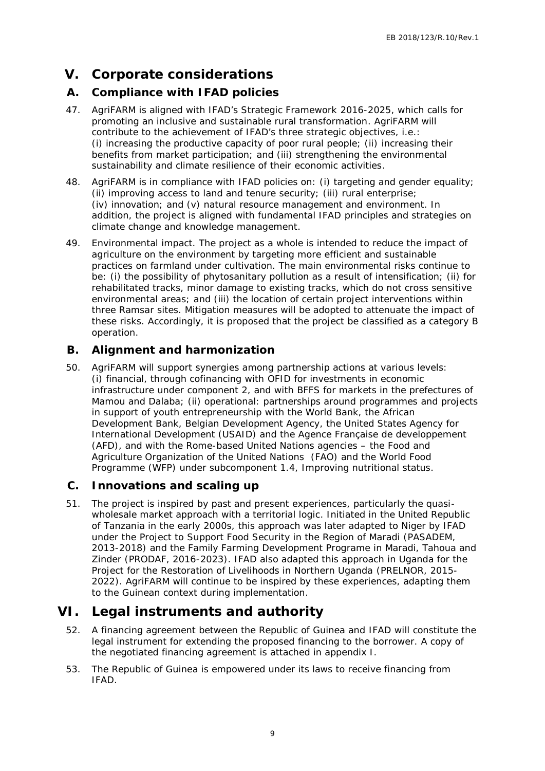# **V. Corporate considerations**

### **A. Compliance with IFAD policies**

- 47. AgriFARM is aligned with IFAD's Strategic Framework 2016-2025, which calls for promoting an inclusive and sustainable rural transformation. AgriFARM will contribute to the achievement of IFAD's three strategic objectives, i.e.: (i) increasing the productive capacity of poor rural people; (ii) increasing their benefits from market participation; and (iii) strengthening the environmental sustainability and climate resilience of their economic activities.
- 48. AgriFARM is in compliance with IFAD policies on: (i) targeting and gender equality; (ii) improving access to land and tenure security; (iii) rural enterprise; (iv) innovation; and (v) natural resource management and environment. In addition, the project is aligned with fundamental IFAD principles and strategies on climate change and knowledge management.
- 49. Environmental impact. The project as a whole is intended to reduce the impact of agriculture on the environment by targeting more efficient and sustainable practices on farmland under cultivation. The main environmental risks continue to be: (i) the possibility of phytosanitary pollution as a result of intensification; (ii) for rehabilitated tracks, minor damage to existing tracks, which do not cross sensitive environmental areas; and (iii) the location of certain project interventions within three Ramsar sites. Mitigation measures will be adopted to attenuate the impact of these risks. Accordingly, it is proposed that the project be classified as a category B operation.

### **B. Alignment and harmonization**

- n. The main environmental risks continue to<br>nothing the main environmental risks continue to<br>polition as a result of intensification; (ii) for<br>existing tracks, which do not cross sensitive<br>its of eachin project interventio 50. AgriFARM will support synergies among partnership actions at various levels: (i) financial, through cofinancing with OFID for investments in economic infrastructure under component 2, and with BFFS for markets in the prefectures of Mamou and Dalaba; (ii) operational: partnerships around programmes and projects in support of youth entrepreneurship with the World Bank, the African Development Bank, Belgian Development Agency, the United States Agency for International Development (USAID) and the Agence Française de developpement (AFD), and with the Rome-based United Nations agencies – the Food and Agriculture Organization of the United Nations (FAO) and the World Food Programme (WFP) under subcomponent 1.4, Improving nutritional status.
- **C. Innovations and scaling up**
- 51. The project is inspired by past and present experiences, particularly the quasi wholesale market approach with a territorial logic. Initiated in the United Republic of Tanzania in the early 2000s, this approach was later adapted to Niger by IFAD under the Project to Support Food Security in the Region of Maradi (PASADEM, 2013-2018) and the Family Farming Development Programe in Maradi, Tahoua and Zinder (PRODAF, 2016-2023). IFAD also adapted this approach in Uganda for the Project for the Restoration of Livelihoods in Northern Uganda (PRELNOR, 2015- 2022). AgriFARM will continue to be inspired by these experiences, adapting them to the Guinean context during implementation.

## **VI. Legal instruments and authority**

- 52. A financing agreement between the Republic of Guinea and IFAD will constitute the legal instrument for extending the proposed financing to the borrower. A copy of the negotiated financing agreement is attached in appendix I.
- 53. The Republic of Guinea is empowered under its laws to receive financing from IFAD.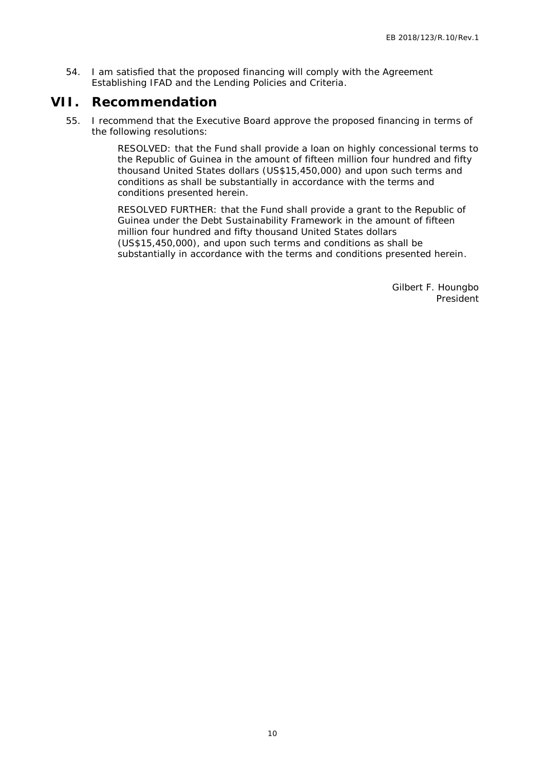54. I am satisfied that the proposed financing will comply with the Agreement Establishing IFAD and the Lending Policies and Criteria.

### **VII. Recommendation**

55. I recommend that the Executive Board approve the proposed financing in terms of the following resolutions:

> RESOLVED: that the Fund shall provide a loan on highly concessional terms to the Republic of Guinea in the amount of fifteen million four hundred and fifty thousand United States dollars (US\$15,450,000) and upon such terms and conditions as shall be substantially in accordance with the terms and conditions presented herein.

RESOLVED FURTHER: that the Fund shall provide a grant to the Republic of Guinea under the Debt Sustainability Framework in the amount of fifteen million four hundred and fifty thousand United States dollars (US\$15,450,000), and upon such terms and conditions as shall be substantially in accordance with the terms and conditions presented herein.

10 ESTATUTE PLATINUM CONDENSITY CONTROL CONTROL CONTROL CONTROL CONTROL CONTROL CONTROL CONTROL CONTROL CONTROL CONTROL CONTROL CONTROL CONTROL CONTROL CONTROL CONTROL CONTROL CONTROL CONTROL CONTROL CONTROL CONTROL CONTRO Gilbert F. Houngbo President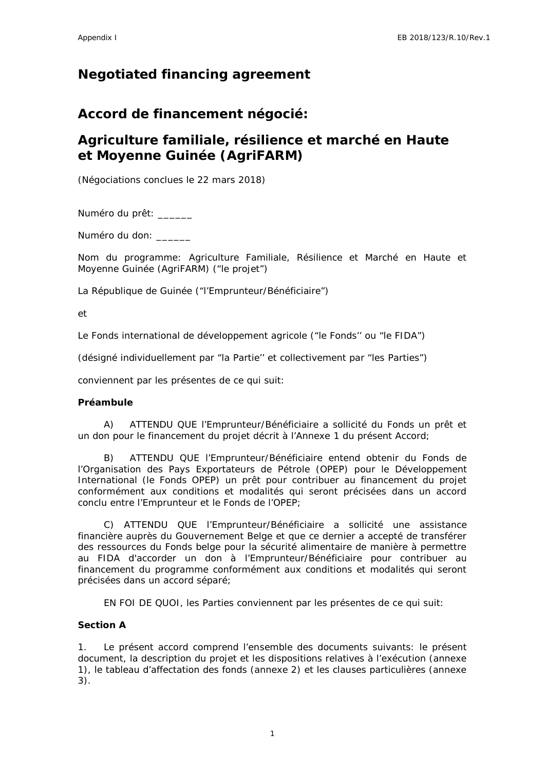## **Negotiated financing agreement**

**Accord de financement négocié:**

# **Agriculture familiale, résilience et marché en Haute et Moyenne Guinée (AgriFARM)**

(Négociations conclues le 22 mars 2018)

Numéro du prêt: \_\_\_\_\_\_

Numéro du don: \_\_\_\_\_\_

Nom du programme: Agriculture Familiale, Résilience et Marché en Haute et Moyenne Guinée (AgriFARM) ("le projet")

La République de Guinée ("l'Emprunteur/Bénéficiaire")

et

Le Fonds international de développement agricole ("le Fonds'' ou "le FIDA")

(désigné individuellement par "la Partie'' et collectivement par "les Parties")

conviennent par les présentes de ce qui suit:

**Préambule**

A) ATTENDU QUE l'Emprunteur/Bénéficiaire a sollicité du Fonds un prêt et un don pour le financement du projet décrit à l'Annexe 1 du présent Accord;

B) ATTENDU QUE l'Emprunteur/Bénéficiaire entend obtenir du Fonds de l'Organisation des Pays Exportateurs de Pétrole (OPEP) pour le Développement International (le Fonds OPEP) un prêt pour contribuer au financement du projet conformément aux conditions et modalités qui seront précisées dans un accord conclu entre l'Emprunteur et le Fonds de l'OPEP;

C) ATTENDU QUE l'Emprunteur/Bénéficiaire a sollicité une assistance financière auprès du Gouvernement Belge et que ce dernier a accepté de transférer des ressources du Fonds belge pour la sécurité alimentaire de manière à permettre au FIDA d'accorder un don à l'Emprunteur/Bénéficiaire pour contribuer au financement du programme conformément aux conditions et modalités qui seront précisées dans un accord séparé;

EN FOI DE QUOI, les Parties conviennent par les présentes de ce qui suit:

**Section A**

1. Le présent accord comprend l'ensemble des documents suivants: le présent document, la description du projet et les dispositions relatives à l'exécution (annexe 1), le tableau d'affectation des fonds (annexe 2) et les clauses particulières (annexe 3).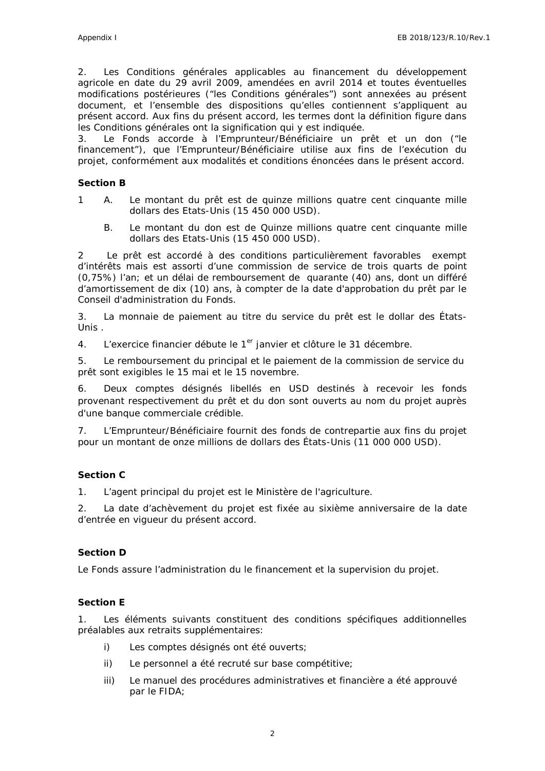2. Les Conditions générales applicables au financement du développement agricole en date du 29 avril 2009, amendées en avril 2014 et toutes éventuelles modifications postérieures ("les Conditions générales") sont annexées au présent document, et l'ensemble des dispositions qu'elles contiennent s'appliquent au présent accord. Aux fins du présent accord, les termes dont la définition figure dans les Conditions générales ont la signification qui y est indiquée.

3. Le Fonds accorde à l'Emprunteur/Bénéficiaire un prêt et un don ("le financement"), que l'Emprunteur/Bénéficiaire utilise aux fins de l'exécution du projet, conformément aux modalités et conditions énoncées dans le présent accord.

#### **Section B**

- 1 A. Le montant du prêt est de quinze millions quatre cent cinquante mille dollars des Etats-Unis (15 450 000 USD).
	- B. Le montant du don est de Quinze millions quatre cent cinquante mille dollars des Etats-Unis (15 450 000 USD).

2 Le prêt est accordé à des conditions particulièrement favorables exempt d'intérêts mais est assorti d'une commission de service de trois quarts de point (0,75%) l'an; et un délai de remboursement de quarante (40) ans, dont un différé d'amortissement de dix (10) ans, à compter de la date d'approbation du prêt par le Conseil d'administration du Fonds.

3. La monnaie de paiement au titre du service du prêt est le dollar des États- Unis .

4. L'exercice financier débute le 1<sup>er</sup> janvier et clôture le 31 décembre.

5. Le remboursement du principal et le paiement de la commission de service du prêt sont exigibles le 15 mai et le 15 novembre.

6. Deux comptes désignés libellés en USD destinés à recevoir les fonds provenant respectivement du prêt et du don sont ouverts au nom du projet auprès d'une banque commerciale crédible.

7. L'Emprunteur/Bénéficiaire fournit des fonds de contrepartie aux fins du projet pour un montant de onze millions de dollars des États-Unis (11 000 000 USD).

#### **Section C**

1. L'agent principal du projet est le Ministère de l'agriculture.

2. La date d'achèvement du projet est fixée au sixième anniversaire de la date d'entrée en vigueur du présent accord.

#### **Section D**

Le Fonds assure l'administration du le financement et la supervision du projet.

#### **Section E**

1. Les éléments suivants constituent des conditions spécifiques additionnelles préalables aux retraits supplémentaires:

- i) Les comptes désignés ont été ouverts;
- ii) Le personnel a été recruté sur base compétitive;
- iii) Le manuel des procédures administratives et financière a été approuvé par le FIDA;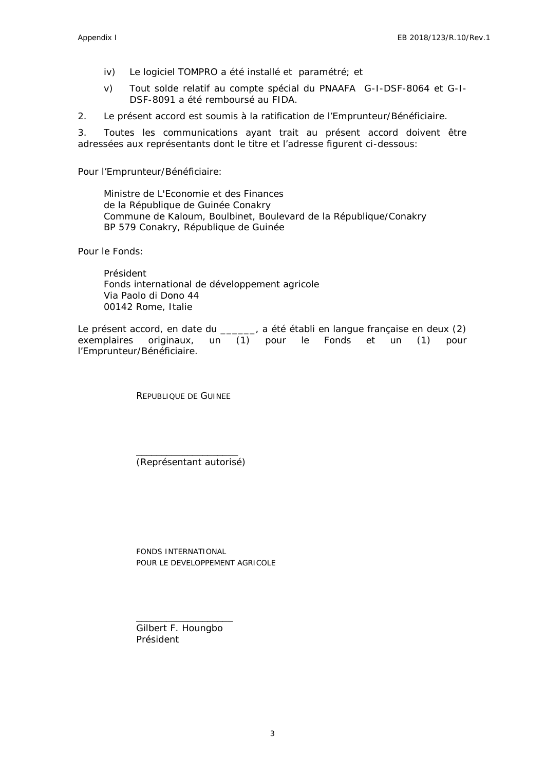- iv) Le logiciel TOMPRO a été installé et paramétré; et
- v) Tout solde relatif au compte spécial du PNAAFA G-I-DSF-8064 et G-I- DSF-8091 a été remboursé au FIDA.

2. Le présent accord est soumis à la ratification de l'Emprunteur/Bénéficiaire.

3. Toutes les communications ayant trait au présent accord doivent être adressées aux représentants dont le titre et l'adresse figurent ci-dessous:

Pour l'Emprunteur/Bénéficiaire:

Ministre de L'Economie et des Finances de la République de Guinée Conakry Commune de Kaloum, Boulbinet, Boulevard de la République/Conakry BP 579 Conakry, République de Guinée

Pour le Fonds:

Président Fonds international de développement agricole Via Paolo di Dono 44 00142 Rome, Italie

Le présent accord, en date du \_\_\_\_\_, a été établi en langue française en deux (2) exemplaires originaux, un (1) pour le Fonds et un (1) pour l'Emprunteur/Bénéficiaire.

REPUBLIQUE DE GUINEE

\_\_\_\_\_\_\_\_\_\_\_\_\_\_\_\_\_\_\_\_ (Représentant autorisé)

FONDS INTERNATIONAL POUR LE DEVELOPPEMENT AGRICOLE

\_\_\_\_\_\_\_\_\_\_\_\_\_\_\_\_\_\_\_ Gilbert F. Houngbo Président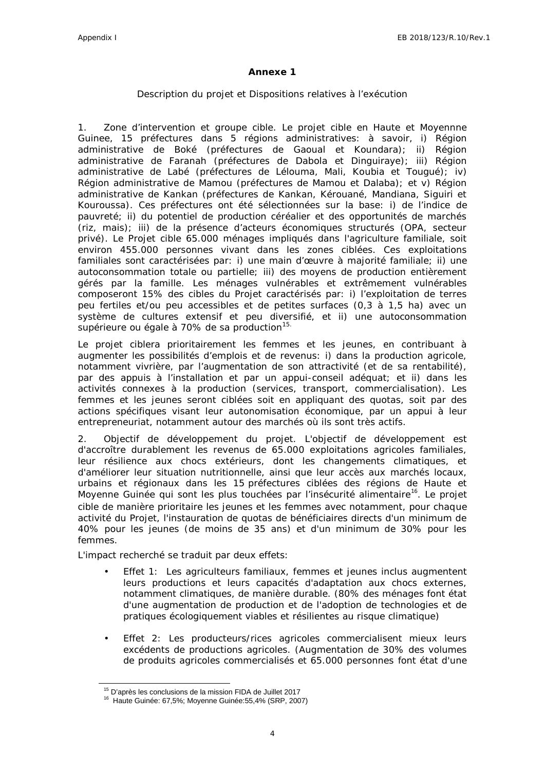#### **Annexe 1**

#### *Description du projet et Dispositions relatives à l'exécution*

1. *Zone d'intervention et groupe cible.* Le projet cible en Haute et Moyennne Guinee, 15 préfectures dans 5 régions administratives: à savoir, i) Région administrative de Boké (préfectures de Gaoual et Koundara); ii) Région administrative de Faranah (préfectures de Dabola et Dinguiraye); iii) Région administrative de Labé (préfectures de Lélouma, Mali, Koubia et Tougué); iv) Région administrative de Mamou (préfectures de Mamou et Dalaba); et v) Région administrative de Kankan (préfectures de Kankan, Kérouané, Mandiana, Siguiri et Kouroussa). Ces préfectures ont été sélectionnées sur la base: i) de l'indice de pauvreté; ii) du potentiel de production céréalier et des opportunités de marchés (riz, mais); iii) de la présence d'acteurs économiques structurés (OPA, secteur privé). Le Projet cible 65.000 ménages impliqués dans l'agriculture familiale, soit environ 455.000 personnes vivant dans les zones ciblées. Ces exploitations familiales sont caractérisées par: i) une main d'œuvre à majorité familiale; ii) une autoconsommation totale ou partielle; iii) des moyens de production entièrement gérés par la famille. Les ménages vulnérables et extrêmement vulnérables composeront 15% des cibles du Projet caractérisés par: i) l'exploitation de terres peu fertiles et/ou peu accessibles et de petites surfaces (0,3 à 1,5 ha) avec un système de cultures extensif et peu diversifié, et ii) une autoconsommation supérieure ou égale à 70% de sa production<sup>15.</sup>

Le projet ciblera prioritairement les femmes et les jeunes, en contribuant à augmenter les possibilités d'emplois et de revenus: i) dans la production agricole, notamment vivrière, par l'augmentation de son attractivité (et de sa rentabilité), par des appuis à l'installation et par un appui-conseil adéquat; et ii) dans les activités connexes à la production (services, transport, commercialisation). Les femmes et les jeunes seront ciblées soit en appliquant des quotas, soit par des actions spécifiques visant leur autonomisation économique, par un appui à leur entrepreneuriat, notamment autour des marchés où ils sont très actifs.

2. *Objectif de développement du projet.* L'objectif de développement est d'accroître durablement les revenus de 65.000 exploitations agricoles familiales, leur résilience aux chocs extérieurs, dont les changements climatiques, et d'améliorer leur situation nutritionnelle, ainsi que leur accès aux marchés locaux, urbains et régionaux dans les 15 préfectures ciblées des régions de Haute et Moyenne Guinée qui sont les plus touchées par l'insécurité alimentaire<sup>16</sup>. Le projet cible de manière prioritaire les jeunes et les femmes avec notamment, pour chaque activité du Projet, l'instauration de quotas de bénéficiaires directs d'un minimum de 40% pour les jeunes (de moins de 35 ans) et d'un minimum de 30% pour les femmes.

L'impact recherché se traduit par deux effets:

- Effet 1: Les agriculteurs familiaux, femmes et jeunes inclus augmentent leurs productions et leurs capacités d'adaptation aux chocs externes, notamment climatiques, de manière durable. (80% des ménages font état d'une augmentation de production et de l'adoption de technologies et de pratiques écologiquement viables et résilientes au risque climatique)
- Effet 2: Les producteurs/rices agricoles commercialisent mieux leurs excédents de productions agricoles. (Augmentation de 30% des volumes de produits agricoles commercialisés et 65.000 personnes font état d'une

<sup>15</sup> D'après les conclusions de la mission FIDA de Juillet 2017

<sup>16</sup> Haute Guinée: 67,5%; Moyenne Guinée:55,4% (SRP, 2007)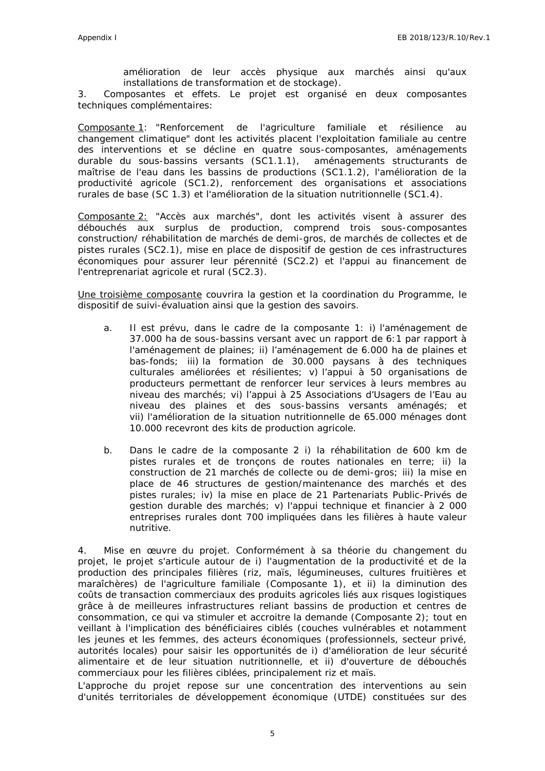amélioration de leur accès physique aux marchés ainsi qu'aux installations de transformation et de stockage).

3. *Composantes et effets.* Le projet est organisé en deux composantes techniques complémentaires:

Composante 1: "Renforcement de l'agriculture familiale et résilience au changement climatique" dont les activités placent l'exploitation familiale au centre des interventions et se décline en quatre sous-composantes, aménagements durable du sous-bassins versants (SC1.1.1), aménagements structurants de maîtrise de l'eau dans les bassins de productions (SC1.1.2), l'amélioration de la productivité agricole (SC1.2), renforcement des organisations et associations rurales de base (SC 1.3) et l'amélioration de la situation nutritionnelle (SC1.4).

Composante 2: "Accès aux marchés", dont les activités visent à assurer des débouchés aux surplus de production, comprend trois sous-composantes construction/ réhabilitation de marchés de demi-gros, de marchés de collectes et de pistes rurales (SC2.1), mise en place de dispositif de gestion de ces infrastructures économiques pour assurer leur pérennité (SC2.2) et l'appui au financement de l'entreprenariat agricole et rural (SC2.3).

Une troisième composante couvrira la gestion et la coordination du Programme, le dispositif de suivi-évaluation ainsi que la gestion des savoirs.

- a. Il est prévu, dans le cadre de la composante 1: i) l'aménagement de 37.000 ha de sous-bassins versant avec un rapport de 6:1 par rapport à l'aménagement de plaines; ii) l'aménagement de 6.000 ha de plaines et bas-fonds; iii) la formation de 30.000 paysans à des techniques culturales améliorées et résilientes; v) l'appui à 50 organisations de producteurs permettant de renforcer leur services à leurs membres au niveau des marchés; vi) l'appui à 25 Associations d'Usagers de l'Eau au niveau des plaines et des sous-bassins versants aménagés; et vii) l'amélioration de la situation nutritionnelle de 65.000 ménages dont 10.000 recevront des kits de production agricole.
- b. Dans le cadre de la composante 2 i) la réhabilitation de 600 km de pistes rurales et de tronçons de routes nationales en terre; ii) la construction de 21 marchés de collecte ou de demi-gros; iii) la mise en place de 46 structures de gestion/maintenance des marchés et des pistes rurales; iv) la mise en place de 21 Partenariats Public-Privés de gestion durable des marchés; v) l'appui technique et financier à 2 000 entreprises rurales dont 700 impliquées dans les filières à haute valeur nutritive.

4. *Mise en œuvre du projet.* Conformément à sa théorie du changement du projet, le projet s'articule autour de i) l'augmentation de la productivité et de la production des principales filières (riz, maïs, légumineuses, cultures fruitières et maraîchères) de l'agriculture familiale (Composante 1), et ii) la diminution des coûts de transaction commerciaux des produits agricoles liés aux risques logistiques grâce à de meilleures infrastructures reliant bassins de production et centres de consommation, ce qui va stimuler et accroitre la demande (Composante 2); tout en veillant à l'implication des bénéficiaires ciblés (couches vulnérables et notamment les jeunes et les femmes, des acteurs économiques (professionnels, secteur privé, autorités locales) pour saisir les opportunités de i) d'amélioration de leur sécurité alimentaire et de leur situation nutritionnelle, et ii) d'ouverture de débouchés commerciaux pour les filières ciblées, principalement riz et maïs.

L'approche du projet repose sur une concentration des interventions au sein d'unités territoriales de développement économique (UTDE) constituées sur des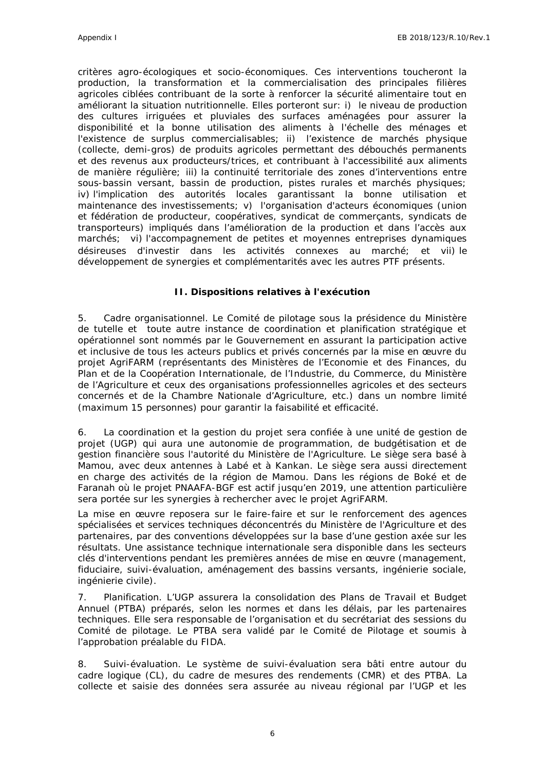critères agro-écologiques et socio-économiques. Ces interventions toucheront la production, la transformation et la commercialisation des principales filières agricoles ciblées contribuant de la sorte à renforcer la sécurité alimentaire tout en améliorant la situation nutritionnelle. Elles porteront sur: i) le niveau de production des cultures irriguées et pluviales des surfaces aménagées pour assurer la disponibilité et la bonne utilisation des aliments à l'échelle des ménages et l'existence de surplus commercialisables; ii) l'existence de marchés physique (collecte, demi-gros) de produits agricoles permettant des débouchés permanents et des revenus aux producteurs/trices, et contribuant à l'accessibilité aux aliments de manière régulière; iii) la continuité territoriale des zones d'interventions entre sous-bassin versant, bassin de production, pistes rurales et marchés physiques; iv) l'implication des autorités locales garantissant la bonne utilisation et maintenance des investissements; v) l'organisation d'acteurs économiques (union et fédération de producteur, coopératives, syndicat de commerçants, syndicats de transporteurs) impliqués dans l'amélioration de la production et dans l'accès aux marchés; vi) l'accompagnement de petites et moyennes entreprises dynamiques désireuses d'investir dans les activités connexes au marché; et vii) le développement de synergies et complémentarités avec les autres PTF présents.

#### **II. Dispositions relatives à l'exécution**

5. *Cadre organisationnel*. Le Comité de pilotage sous la présidence du Ministère de tutelle et toute autre instance de coordination et planification stratégique et opérationnel sont nommés par le Gouvernement en assurant la participation active et inclusive de tous les acteurs publics et privés concernés par la mise en œuvre du projet AgriFARM (représentants des Ministères de l'Economie et des Finances, du Plan et de la Coopération Internationale, de l'Industrie, du Commerce, du Ministère de l'Agriculture et ceux des organisations professionnelles agricoles et des secteurs concernés et de la Chambre Nationale d'Agriculture, etc.) dans un nombre limité (maximum 15 personnes) pour garantir la faisabilité et efficacité.

6. La coordination et la gestion du projet sera confiée à une unité de gestion de projet (UGP) qui aura une autonomie de programmation, de budgétisation et de gestion financière sous l'autorité du Ministère de l'Agriculture. Le siège sera basé à Mamou, avec deux antennes à Labé et à Kankan. Le siège sera aussi directement en charge des activités de la région de Mamou. Dans les régions de Boké et de Faranah où le projet PNAAFA-BGF est actif jusqu'en 2019, une attention particulière sera portée sur les synergies à rechercher avec le projet AgriFARM.

La mise en œuvre reposera sur le faire-faire et sur le renforcement des agences spécialisées et services techniques déconcentrés du Ministère de l'Agriculture et des partenaires, par des conventions développées sur la base d'une gestion axée sur les résultats. Une assistance technique internationale sera disponible dans les secteurs clés d'interventions pendant les premières années de mise en œuvre (management, fiduciaire, suivi-évaluation, aménagement des bassins versants, ingénierie sociale, ingénierie civile).

7. *Planification.* L'UGP assurera la consolidation des Plans de Travail et Budget Annuel (PTBA) préparés, selon les normes et dans les délais, par les partenaires techniques. Elle sera responsable de l'organisation et du secrétariat des sessions du Comité de pilotage. Le PTBA sera validé par le Comité de Pilotage et soumis à l'approbation préalable du FIDA.

8. *Suivi-évaluation.* Le système de suivi-évaluation sera bâti entre autour du cadre logique (CL), du cadre de mesures des rendements (CMR) et des PTBA. La collecte et saisie des données sera assurée au niveau régional par l'UGP et les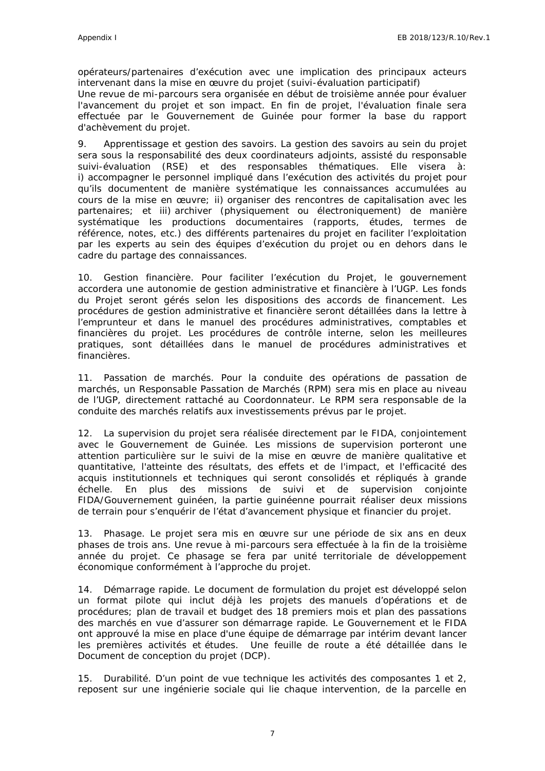opérateurs/partenaires d'exécution avec une implication des principaux acteurs intervenant dans la mise en œuvre du projet (suivi-évaluation participatif) Une revue de mi-parcours sera organisée en début de troisième année pour évaluer l'avancement du projet et son impact. En fin de projet, l'évaluation finale sera

effectuée par le Gouvernement de Guinée pour former la base du rapport d'achèvement du projet.

9. *Apprentissage et gestion des savoirs.* La gestion des savoirs au sein du projet sera sous la responsabilité des deux coordinateurs adjoints, assisté du responsable suivi-évaluation (RSE) et des responsables thématiques. Elle visera à: i) accompagner le personnel impliqué dans l'exécution des activités du projet pour qu'ils documentent de manière systématique les connaissances accumulées au cours de la mise en œuvre; ii) organiser des rencontres de capitalisation avec les partenaires; et iii) archiver (physiquement ou électroniquement) de manière systématique les productions documentaires (rapports, études, termes de référence, notes, etc.) des différents partenaires du projet en faciliter l'exploitation par les experts au sein des équipes d'exécution du projet ou en dehors dans le cadre du partage des connaissances.

10. *Gestion financière.* Pour faciliter l'exécution du Projet, le gouvernement accordera une autonomie de gestion administrative et financière à l'UGP. Les fonds du Projet seront gérés selon les dispositions des accords de financement. Les procédures de gestion administrative et financière seront détaillées dans la lettre à l'emprunteur et dans le manuel des procédures administratives, comptables et financières du projet. Les procédures de contrôle interne, selon les meilleures pratiques, sont détaillées dans le manuel de procédures administratives et financières.

11. *Passation de marchés.* Pour la conduite des opérations de passation de marchés, un Responsable Passation de Marchés (RPM) sera mis en place au niveau de l'UGP, directement rattaché au Coordonnateur. Le RPM sera responsable de la conduite des marchés relatifs aux investissements prévus par le projet.

12. *La supervision* du projet sera réalisée directement par le FIDA, conjointement avec le Gouvernement de Guinée. Les missions de supervision porteront une attention particulière sur le suivi de la mise en œuvre de manière qualitative et quantitative, l'atteinte des résultats, des effets et de l'impact, et l'efficacité des acquis institutionnels et techniques qui seront consolidés et répliqués à grande échelle. En plus des missions de suivi et de supervision conjointe FIDA/Gouvernement guinéen, la partie guinéenne pourrait réaliser deux missions de terrain pour s'enquérir de l'état d'avancement physique et financier du projet.

13. *Phasage.* Le projet sera mis en œuvre sur une période de six ans en deux phases de trois ans. Une revue à mi-parcours sera effectuée à la fin de la troisième année du projet. Ce phasage se fera par unité territoriale de développement économique conformément à l'approche du projet.

14. *Démarrage rapide*. Le document de formulation du projet est développé selon un format pilote qui inclut déjà les projets des manuels d'opérations et de procédures; plan de travail et budget des 18 premiers mois et plan des passations des marchés en vue d'assurer son démarrage rapide. Le Gouvernement et le FIDA ont approuvé la mise en place d'une équipe de démarrage par intérim devant lancer les premières activités et études. Une feuille de route a été détaillée dans le Document de conception du projet (DCP).

15. *Durabilité.* D'un point de vue technique les activités des composantes 1 et 2, reposent sur une ingénierie sociale qui lie chaque intervention, de la parcelle en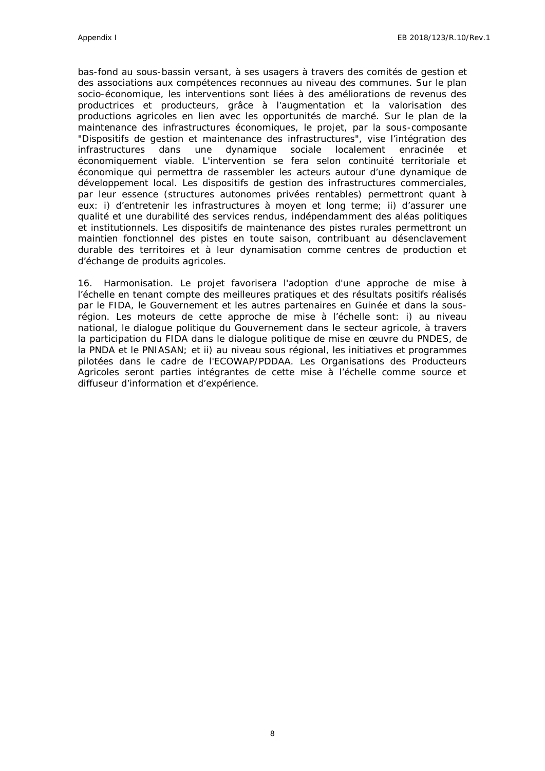bas-fond au sous-bassin versant, à ses usagers à travers des comités de gestion et des associations aux compétences reconnues au niveau des communes. Sur le plan socio-économique, les interventions sont liées à des améliorations de revenus des productrices et producteurs, grâce à l'augmentation et la valorisation des productions agricoles en lien avec les opportunités de marché. Sur le plan de la maintenance des infrastructures économiques, le projet, par la sous-composante "Dispositifs de gestion et maintenance des infrastructures", vise l'intégration des infrastructures dans une dynamique sociale localement enracinée et économiquement viable. L'intervention se fera selon continuité territoriale et économique qui permettra de rassembler les acteurs autour d'une dynamique de développement local. Les dispositifs de gestion des infrastructures commerciales, par leur essence (structures autonomes privées rentables) permettront quant à eux: i) d'entretenir les infrastructures à moyen et long terme; ii) d'assurer une qualité et une durabilité des services rendus, indépendamment des aléas politiques et institutionnels. Les dispositifs de maintenance des pistes rurales permettront un maintien fonctionnel des pistes en toute saison, contribuant au désenclavement durable des territoires et à leur dynamisation comme centres de production et d'échange de produits agricoles.

16. *Harmonisation.* Le projet favorisera l'adoption d'une approche de mise à l'échelle en tenant compte des meilleures pratiques et des résultats positifs réalisés par le FIDA, le Gouvernement et les autres partenaires en Guinée et dans la sousrégion. Les moteurs de cette approche de mise à l'échelle sont: i) au niveau national, le dialogue politique du Gouvernement dans le secteur agricole, à travers la participation du FIDA dans le dialogue politique de mise en œuvre du PNDES, de la PNDA et le PNIASAN; et ii) au niveau sous régional, les initiatives et programmes pilotées dans le cadre de l'ECOWAP/PDDAA. Les Organisations des Producteurs Agricoles seront parties intégrantes de cette mise à l'échelle comme source et diffuseur d'information et d'expérience.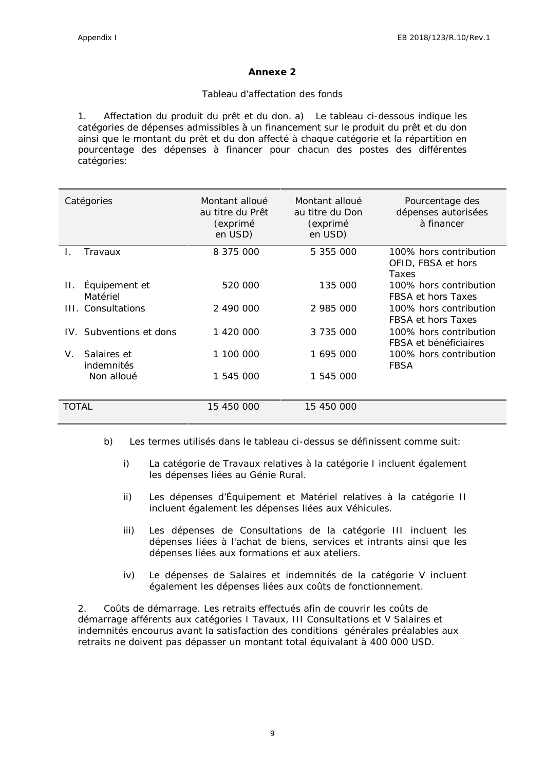#### **Annexe 2**

#### *Tableau d'affectation des fonds*

1. *Affectation du produit du prêt et du don.* a) Le tableau ci-dessous indique les catégories de dépenses admissibles à un financement sur le produit du prêt et du don ainsi que le montant du prêt et du don affecté à chaque catégorie et la répartition en pourcentage des dépenses à financer pour chacun des postes des différentes catégories:

| Catégories                      | Montant alloué<br>au titre du Prêt<br>(exprimé<br>en USD) | Montant alloué<br>au titre du Don<br>(exprimé<br>en USD) | Pourcentage des<br>dépenses autorisées<br>à financer  |
|---------------------------------|-----------------------------------------------------------|----------------------------------------------------------|-------------------------------------------------------|
| Travaux                         | 8 375 000                                                 | 5 355 000                                                | 100% hors contribution<br>OFID, FBSA et hors<br>Taxes |
| Équipement et<br>П.<br>Matériel | 520 000                                                   | 135 000                                                  | 100% hors contribution<br>FBSA et hors Taxes          |
| III. Consultations              | 2 490 000                                                 | 2 985 000                                                | 100% hors contribution<br>FBSA et hors Taxes          |
| IV. Subventions et dons         | 1 420 000                                                 | 3 735 000                                                | 100% hors contribution<br>FBSA et bénéficiaires       |
| Salaires et<br>V.<br>indemnités | 1 100 000                                                 | 1 695 000                                                | 100% hors contribution<br>FBSA                        |
| Non alloué                      | 1 545 000                                                 | 1 545 000                                                |                                                       |
| TOTAL                           | 15 450 000                                                | 15 450 000                                               |                                                       |

- b) Les termes utilisés dans le tableau ci-dessus se définissent comme suit:
	- i) La catégorie de Travaux relatives à la catégorie I incluent également les dépenses liées au Génie Rural.
	- ii) Les dépenses d'Équipement et Matériel relatives à la catégorie II incluent également les dépenses liées aux Véhicules.
	- iii) Les dépenses de Consultations de la catégorie III incluent les dépenses liées à l'achat de biens, services et intrants ainsi que les dépenses liées aux formations et aux ateliers.
	- iv) Le dépenses de Salaires et indemnités de la catégorie V incluent également les dépenses liées aux coûts de fonctionnement.

2. *Coûts de démarrage*. Les retraits effectués afin de couvrir les coûts de démarrage afférents aux catégories I Tavaux, III Consultations et V Salaires et indemnités encourus avant la satisfaction des conditions générales préalables aux retraits ne doivent pas dépasser un montant total équivalant à 400 000 USD.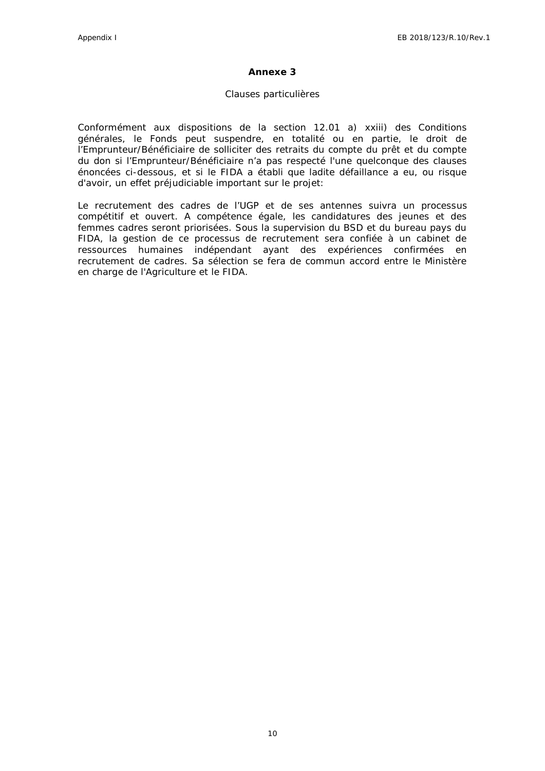#### **Annexe 3**

#### *Clauses particulières*

Conformément aux dispositions de la section 12.01 a) xxiii) des Conditions générales, le Fonds peut suspendre, en totalité ou en partie, le droit de l'Emprunteur/Bénéficiaire de solliciter des retraits du compte du prêt et du compte du don si l'Emprunteur/Bénéficiaire n'a pas respecté l'une quelconque des clauses énoncées ci-dessous, et si le FIDA a établi que ladite défaillance a eu, ou risque d'avoir, un effet préjudiciable important sur le projet:

Le recrutement des cadres de l'UGP et de ses antennes suivra un processus compétitif et ouvert. A compétence égale, les candidatures des jeunes et des femmes cadres seront priorisées. Sous la supervision du BSD et du bureau pays du FIDA, la gestion de ce processus de recrutement sera confiée à un cabinet de ressources humaines indépendant ayant des expériences confirmées en recrutement de cadres. Sa sélection se fera de commun accord entre le Ministère en charge de l'Agriculture et le FIDA.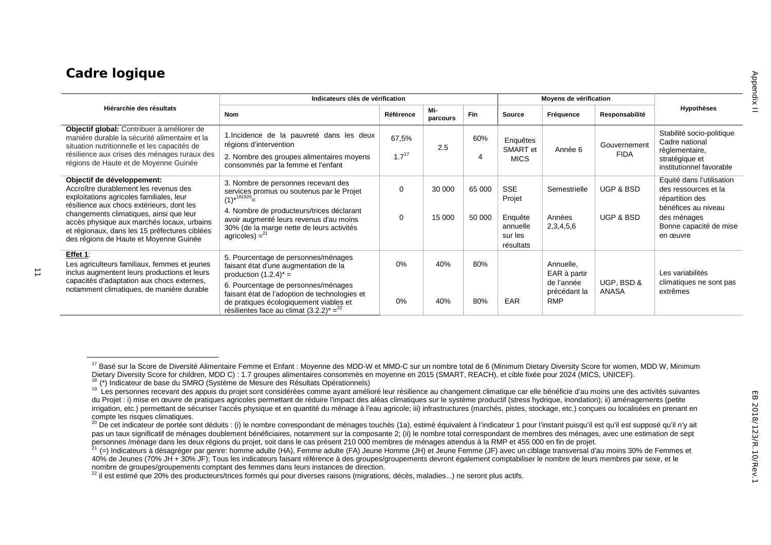# **Cadre logique**

|                                                                                                                                                                                                                               | Indicateurs clés de vérification                                                                                                                                                |            |                 |        |                                             | Moyens de vérification                   |                     |                                                                          |
|-------------------------------------------------------------------------------------------------------------------------------------------------------------------------------------------------------------------------------|---------------------------------------------------------------------------------------------------------------------------------------------------------------------------------|------------|-----------------|--------|---------------------------------------------|------------------------------------------|---------------------|--------------------------------------------------------------------------|
| Hiérarchie des résultats                                                                                                                                                                                                      | <b>Nom</b>                                                                                                                                                                      | Référence  | Mi-<br>parcours | Fin    | <b>Source</b>                               | Fréquence                                | Responsabilité      | Hypothèses                                                               |
| Objectif global: Contribuer à améliorer de<br>manière durable la sécurité alimentaire et la<br>situation nutritionnelle et les capacités de                                                                                   | 1. Incidence de la pauvreté dans les deux<br>régions d'intervention                                                                                                             | 67,5%      | 2.5             | 60%    | Enquêtes<br>SMART et                        | Année 6                                  | Gouvernement        | Stabilité socio-politique<br>Cadre national<br>règlementaire,            |
| résilience aux crises des ménages ruraux des<br>régions de Haute et de Moyenne Guinée                                                                                                                                         | 2. Nombre des groupes alimentaires moyens<br>consommés par la femme et l'enfant                                                                                                 | $1.7^{17}$ |                 | 4      | <b>MICS</b>                                 |                                          | <b>FIDA</b>         | stratégique et<br>institutionnel favorable                               |
| Objectif de développement:<br>Accroître durablement les revenus des<br>exploitations agricoles familiales, leur                                                                                                               | 3. Nombre de personnes recevant des<br>services promus ou soutenus par le Projet<br>$(1)^{*181920}$ =                                                                           | 0          | 30 000          | 65 000 | <b>SSE</b><br>Projet                        | Semestrielle                             | UGP & BSD           | Equité dans l'utilisation<br>des ressources et la<br>répartition des     |
| résilience aux chocs extérieurs, dont les<br>changements climatiques, ainsi que leur<br>accès physique aux marchés locaux, urbains<br>et régionaux, dans les 15 préfectures ciblées<br>des régions de Haute et Moyenne Guinée | 4. Nombre de producteurs/trices déclarant<br>avoir augmenté leurs revenus d'au moins<br>30% (de la marge nette de leurs activités<br>agricoles) = $2^2$                         | 0          | 15 000          | 50 000 | Enquête<br>annuelle<br>sur les<br>résultats | Années<br>2,3,4,5,6                      | UGP & BSD           | bénéfices au niveau<br>des ménages<br>Bonne capacité de mise<br>en œuvre |
| Effet 1:<br>Les agriculteurs familiaux, femmes et jeunes<br>inclus augmentent leurs productions et leurs                                                                                                                      | 5. Pourcentage de personnes/ménages<br>faisant état d'une augmentation de la<br>production $(1.2.4)^*$ =                                                                        | 0%         | 40%             | 80%    |                                             | Annuelle,<br>EAR à partir                |                     | Les variabilités                                                         |
| capacités d'adaptation aux chocs externes,<br>notamment climatiques, de manière durable                                                                                                                                       | 6. Pourcentage de personnes/ménages<br>faisant état de l'adoption de technologies et<br>de pratiques écologiquement viables et<br>résilientes face au climat $(3.2.2)^* =^{22}$ | 0%         | 40%             | 80%    | EAR                                         | de l'année<br>précédant la<br><b>RMP</b> | UGP, BSD &<br>ANASA | climatiques ne sont pas<br>extrêmes                                      |

<sup>&</sup>lt;sup>17</sup> Basé sur la Score de Diversité Alimentaire Femme et Enfant : Moyenne des MDD-W et MMD-C sur un nombre total de 6 (Minimum Dietary Diversity Score for women, MDD W, Minimum<br>Dietary Diversity Score for children, MDD C)

<sup>&</sup>lt;sup>18</sup> (\*) Indicateur de base du SMRO (Système de Mesure des Résultats Opérationnels)<br><sup>19</sup> Les personnes recevant des appuis du projet sont considérées comme ayant amélioré leur résilience au changement climatique car elle b du Projet : i) mise en œuvre de pratiques agricoles permettant de réduire l'impact des aléas climatiques sur le système productif (stress hydrique, inondation); ii) aménagements (petite irrigation, etc.) permettant de sécuriser l'accès physique et en quantité du ménage à l'eau agricole; iii) infrastructures (marchés, pistes, stockage, etc.) conçues ou localisées en prenant en<br>compte les risques climatique

<sup>20</sup> De cet indicateur de portée sont déduits : (i) le nombre correspondant de ménages touchés (1a), estimé équivalent à l'indicateur 1 pour l'instant puisqu'il est qu'il est supposé qu'il n'y ait pas un taux significatif de ménages doublement bénéficiaires, notamment sur la composante 2; (ii) le nombre total correspondant de membres des ménages, avec une estimation de sept<br>personnes /ménage dans les deux régions du

<sup>(=)</sup> Indicateurs à désagréger par genre: homme adulte (HA). Femme adulte (FA) Jeune Homme (JH) et Jeune Femme (JF) avec un ciblage transversal d'au moins 30% de Femmes et 40% de Jeunes (70% JH + 30% JF); Tous les indicateurs faisant référence à des groupes/groupements devront également comptabiliser le nombre de leurs membres par sexe, et le<br>nombre de groupes/groupements comptant des femmes

 $\frac{22}{1}$ il est estimé que 20% des producteurs/trices formés qui pour diverses raisons (migrations, décès, maladies...) ne seront plus actifs.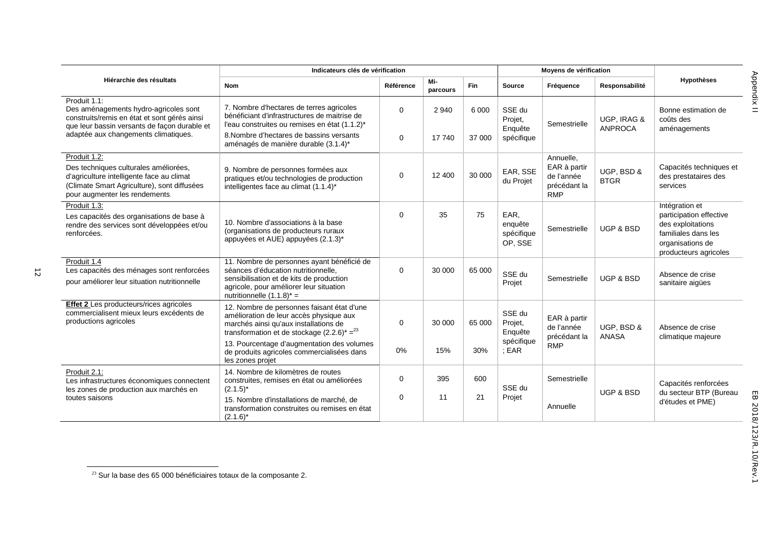|                                                                                                                                                                                               | Indicateurs clés de vérification                                                                                                                                                                                                 |                            |                   |                   |                                            | Moyens de vérification                                                |                               |                                                                                                                                    |
|-----------------------------------------------------------------------------------------------------------------------------------------------------------------------------------------------|----------------------------------------------------------------------------------------------------------------------------------------------------------------------------------------------------------------------------------|----------------------------|-------------------|-------------------|--------------------------------------------|-----------------------------------------------------------------------|-------------------------------|------------------------------------------------------------------------------------------------------------------------------------|
| Hiérarchie des résultats                                                                                                                                                                      | <b>Nom</b>                                                                                                                                                                                                                       | Référence                  | Mi-<br>parcours   | Fin               | <b>Source</b>                              | Fréquence                                                             | Responsabilité                | <b>Hypothèses</b>                                                                                                                  |
| Produit 1.1:<br>Des aménagements hydro-agricoles sont<br>construits/remis en état et sont gérés ainsi<br>que leur bassin versants de façon durable et<br>adaptée aux changements climatiques. | 7. Nombre d'hectares de terres agricoles<br>bénéficiant d'infrastructures de maitrise de<br>l'eau construites ou remises en état (1.1.2)*<br>8. Nombre d'hectares de bassins versants<br>aménagés de manière durable (3.1.4)*    | $\mathbf 0$<br>$\mathbf 0$ | 2 9 4 0<br>17 740 | 6 0 0 0<br>37 000 | SSE du<br>Projet,<br>Enquête<br>spécifique | Semestrielle                                                          | UGP, IRAG &<br><b>ANPROCA</b> | Bonne estimation de<br>coûts des<br>aménagements                                                                                   |
| Produit 1.2:<br>Des techniques culturales améliorées,<br>d'agriculture intelligente face au climat<br>(Climate Smart Agriculture), sont diffusées<br>pour augmenter les rendements.           | 9. Nombre de personnes formées aux<br>pratiques et/ou technologies de production<br>intelligentes face au climat (1.1.4)*                                                                                                        | $\mathbf 0$                | 12 400            | 30 000            | EAR, SSE<br>du Projet                      | Annuelle,<br>EAR à partir<br>de l'année<br>précédant la<br><b>RMP</b> | UGP, BSD &<br><b>BTGR</b>     | Capacités techniques et<br>des prestataires des<br>services                                                                        |
| Produit 1.3:<br>Les capacités des organisations de base à<br>rendre des services sont développées et/ou<br>renforcées.                                                                        | 10. Nombre d'associations à la base<br>(organisations de producteurs ruraux<br>appuyées et AUE) appuyées (2.1.3)*                                                                                                                | $\mathbf 0$                | 35                | 75                | EAR,<br>enquête<br>spécifique<br>OP, SSE   | Semestrielle                                                          | <b>UGP &amp; BSD</b>          | Intégration et<br>participation effective<br>des exploitations<br>familiales dans les<br>organisations de<br>producteurs agricoles |
| Produit 1.4<br>Les capacités des ménages sont renforcées<br>pour améliorer leur situation nutritionnelle                                                                                      | 11. Nombre de personnes ayant bénéficié de<br>séances d'éducation nutritionnelle,<br>sensibilisation et de kits de production<br>agricole, pour améliorer leur situation<br>nutritionnelle $(1.1.8)^*$ =                         | $\mathbf 0$                | 30 000            | 65 000            | SSE du<br>Projet                           | Semestrielle                                                          | <b>UGP &amp; BSD</b>          | Absence de crise<br>sanitaire aigües                                                                                               |
| <b>Effet 2</b> Les producteurs/rices agricoles<br>commercialisent mieux leurs excédents de<br>productions agricoles                                                                           | 12. Nombre de personnes faisant état d'une<br>amélioration de leur accès physique aux<br>marchés ainsi qu'aux installations de<br>transformation et de stockage $(2.2.6)^* =^{23}$<br>13. Pourcentage d'augmentation des volumes | $\mathbf 0$                | 30 000            | 65 000            | SSE du<br>Projet,<br>Enquête<br>spécifique | EAR à partir<br>de l'année<br>précédant la<br><b>RMP</b>              | UGP, BSD &<br><b>ANASA</b>    | Absence de crise<br>climatique majeure                                                                                             |
|                                                                                                                                                                                               | de produits agricoles commercialisées dans<br>les zones projet                                                                                                                                                                   | 0%                         | 15%               | 30%               | ; EAR                                      |                                                                       |                               |                                                                                                                                    |
| Produit 2.1:<br>Les infrastructures économiques connectent<br>les zones de production aux marchés en<br>toutes saisons                                                                        | 14. Nombre de kilomètres de routes<br>construites, remises en état ou améliorées<br>$(2.1.5)^*$<br>15. Nombre d'installations de marché, de<br>transformation construites ou remises en état<br>$(2.1.6)^*$                      | $\mathbf 0$<br>$\mathbf 0$ | 395<br>11         | 600<br>21         | SSE du<br>Projet                           | Semestrielle<br>Annuelle                                              | <b>UGP &amp; BSD</b>          | Capacités renforcées<br>du secteur BTP (Bureau<br>d'études et PME)                                                                 |

 $^{23}$  Sur la base des 65 000 bénéficiaires totaux de la composante 2.